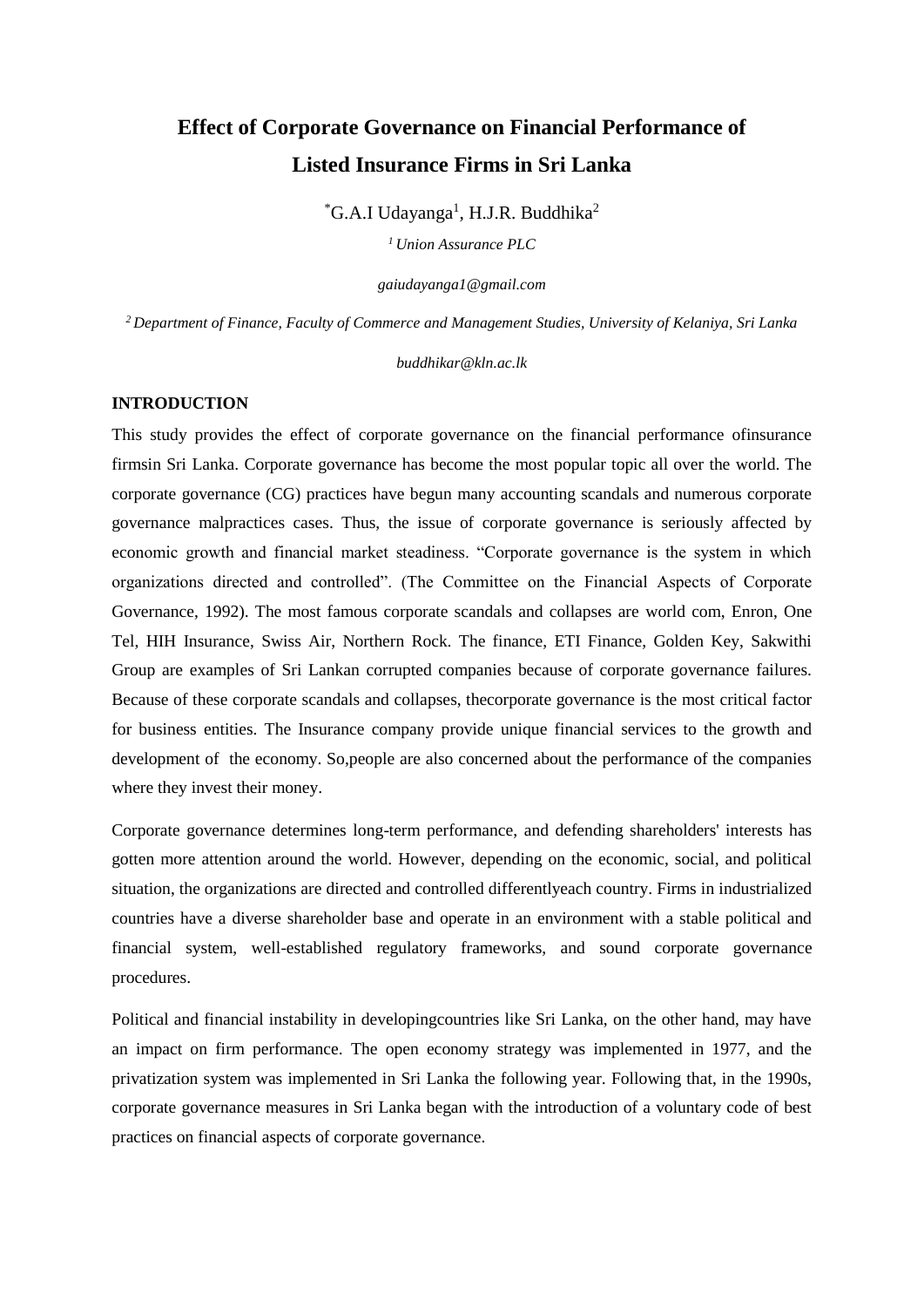# **Effect of Corporate Governance on Financial Performance of Listed Insurance Firms in Sri Lanka**

 ${}^*$ G.A.I Udayanga<sup>1</sup>, H.J.R. Buddhika<sup>2</sup>

*<sup>1</sup>Union Assurance PLC*

*gaiudayanga1@gmail.com*

*<sup>2</sup>Department of Finance, Faculty of Commerce and Management Studies, University of Kelaniya, Sri Lanka*

*buddhikar@kln.ac.lk*

## **INTRODUCTION**

This study provides the effect of corporate governance on the financial performance ofinsurance firmsin Sri Lanka. Corporate governance has become the most popular topic all over the world. The corporate governance (CG) practices have begun many accounting scandals and numerous corporate governance malpractices cases. Thus, the issue of corporate governance is seriously affected by economic growth and financial market steadiness. "Corporate governance is the system in which organizations directed and controlled". (The Committee on the Financial Aspects of Corporate Governance, 1992). The most famous corporate scandals and collapses are world com, Enron, One Tel, HIH Insurance, Swiss Air, Northern Rock. The finance, ETI Finance, Golden Key, Sakwithi Group are examples of Sri Lankan corrupted companies because of corporate governance failures. Because of these corporate scandals and collapses, thecorporate governance is the most critical factor for business entities. The Insurance company provide unique financial services to the growth and development of the economy. So,people are also concerned about the performance of the companies where they invest their money.

Corporate governance determines long-term performance, and defending shareholders' interests has gotten more attention around the world. However, depending on the economic, social, and political situation, the organizations are directed and controlled differentlyeach country. Firms in industrialized countries have a diverse shareholder base and operate in an environment with a stable political and financial system, well-established regulatory frameworks, and sound corporate governance procedures.

Political and financial instability in developingcountries like Sri Lanka, on the other hand, may have an impact on firm performance. The open economy strategy was implemented in 1977, and the privatization system was implemented in Sri Lanka the following year. Following that, in the 1990s, corporate governance measures in Sri Lanka began with the introduction of a voluntary code of best practices on financial aspects of corporate governance.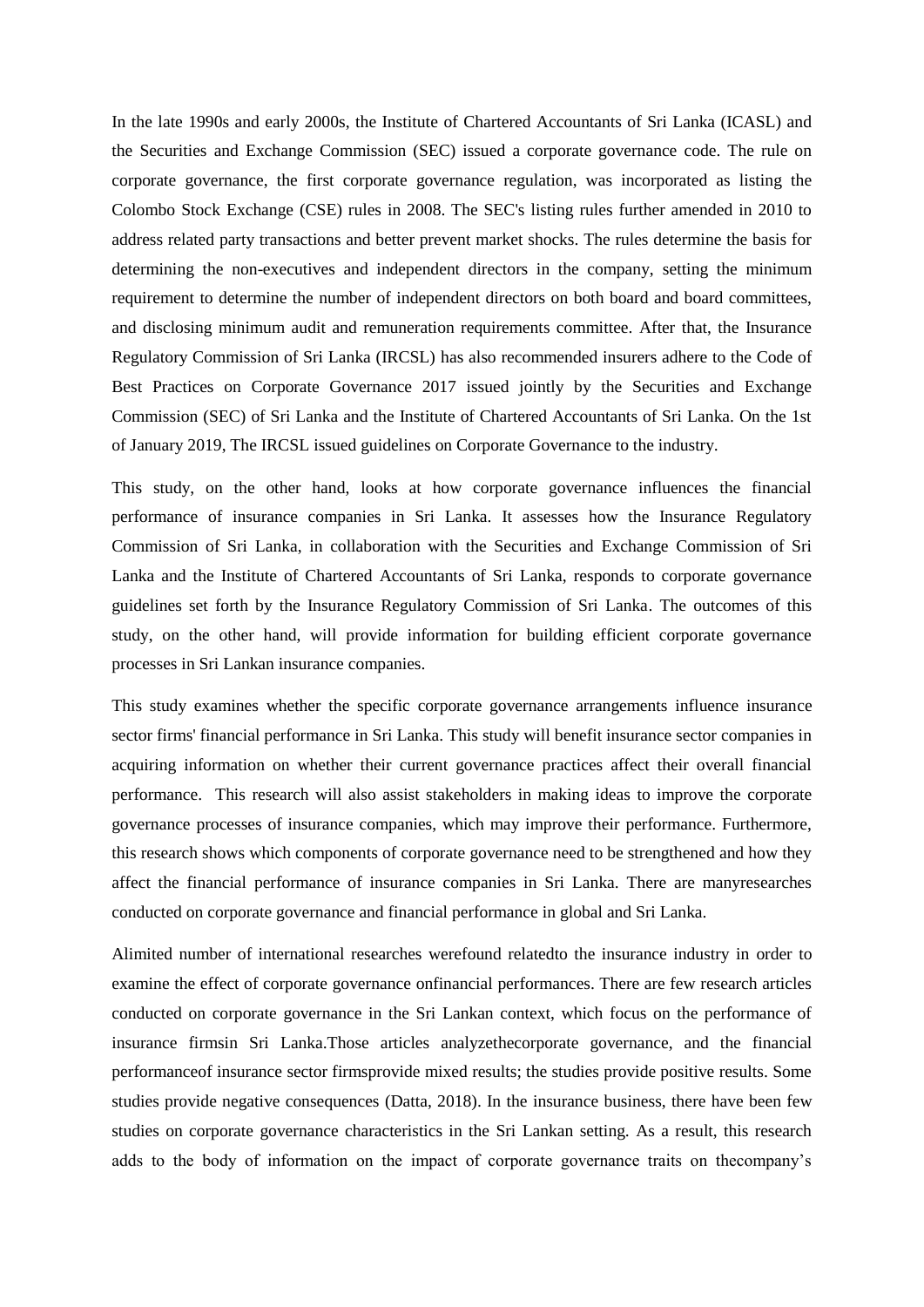In the late 1990s and early 2000s, the Institute of Chartered Accountants of Sri Lanka (ICASL) and the Securities and Exchange Commission (SEC) issued a corporate governance code. The rule on corporate governance, the first corporate governance regulation, was incorporated as listing the Colombo Stock Exchange (CSE) rules in 2008. The SEC's listing rules further amended in 2010 to address related party transactions and better prevent market shocks. The rules determine the basis for determining the non-executives and independent directors in the company, setting the minimum requirement to determine the number of independent directors on both board and board committees, and disclosing minimum audit and remuneration requirements committee. After that, the Insurance Regulatory Commission of Sri Lanka (IRCSL) has also recommended insurers adhere to the Code of Best Practices on Corporate Governance 2017 issued jointly by the Securities and Exchange Commission (SEC) of Sri Lanka and the Institute of Chartered Accountants of Sri Lanka. On the 1st of January 2019, The IRCSL issued guidelines on Corporate Governance to the industry.

This study, on the other hand, looks at how corporate governance influences the financial performance of insurance companies in Sri Lanka. It assesses how the Insurance Regulatory Commission of Sri Lanka, in collaboration with the Securities and Exchange Commission of Sri Lanka and the Institute of Chartered Accountants of Sri Lanka, responds to corporate governance guidelines set forth by the Insurance Regulatory Commission of Sri Lanka. The outcomes of this study, on the other hand, will provide information for building efficient corporate governance processes in Sri Lankan insurance companies.

This study examines whether the specific corporate governance arrangements influence insurance sector firms' financial performance in Sri Lanka. This study will benefit insurance sector companies in acquiring information on whether their current governance practices affect their overall financial performance. This research will also assist stakeholders in making ideas to improve the corporate governance processes of insurance companies, which may improve their performance. Furthermore, this research shows which components of corporate governance need to be strengthened and how they affect the financial performance of insurance companies in Sri Lanka. There are manyresearches conducted on corporate governance and financial performance in global and Sri Lanka.

Alimited number of international researches werefound relatedto the insurance industry in order to examine the effect of corporate governance onfinancial performances. There are few research articles conducted on corporate governance in the Sri Lankan context, which focus on the performance of insurance firmsin Sri Lanka.Those articles analyzethecorporate governance, and the financial performanceof insurance sector firmsprovide mixed results; the studies provide positive results. Some studies provide negative consequences (Datta, 2018). In the insurance business, there have been few studies on corporate governance characteristics in the Sri Lankan setting. As a result, this research adds to the body of information on the impact of corporate governance traits on thecompany's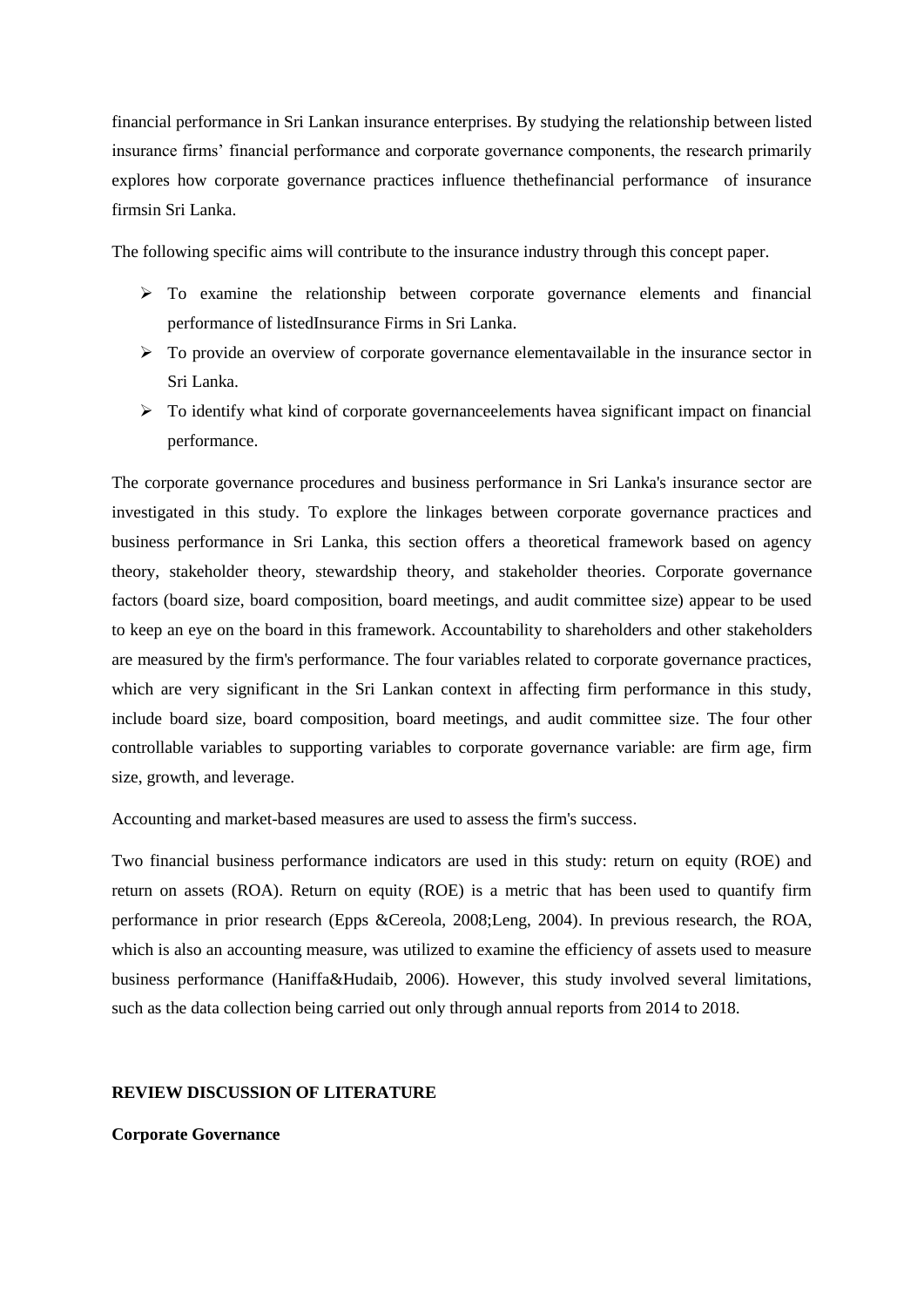financial performance in Sri Lankan insurance enterprises. By studying the relationship between listed insurance firms' financial performance and corporate governance components, the research primarily explores how corporate governance practices influence thethefinancial performance of insurance firmsin Sri Lanka.

The following specific aims will contribute to the insurance industry through this concept paper.

- $\triangleright$  To examine the relationship between corporate governance elements and financial performance of listedInsurance Firms in Sri Lanka.
- $\triangleright$  To provide an overview of corporate governance elementavailable in the insurance sector in Sri Lanka.
- $\triangleright$  To identify what kind of corporate governance elements have a significant impact on financial performance.

The corporate governance procedures and business performance in Sri Lanka's insurance sector are investigated in this study. To explore the linkages between corporate governance practices and business performance in Sri Lanka, this section offers a theoretical framework based on agency theory, stakeholder theory, stewardship theory, and stakeholder theories. Corporate governance factors (board size, board composition, board meetings, and audit committee size) appear to be used to keep an eye on the board in this framework. Accountability to shareholders and other stakeholders are measured by the firm's performance. The four variables related to corporate governance practices, which are very significant in the Sri Lankan context in affecting firm performance in this study, include board size, board composition, board meetings, and audit committee size. The four other controllable variables to supporting variables to corporate governance variable: are firm age, firm size, growth, and leverage.

Accounting and market-based measures are used to assess the firm's success.

Two financial business performance indicators are used in this study: return on equity (ROE) and return on assets (ROA). Return on equity (ROE) is a metric that has been used to quantify firm performance in prior research (Epps &Cereola, 2008;Leng, 2004). In previous research, the ROA, which is also an accounting measure, was utilized to examine the efficiency of assets used to measure business performance (Haniffa&Hudaib, 2006). However, this study involved several limitations, such as the data collection being carried out only through annual reports from 2014 to 2018.

#### **REVIEW DISCUSSION OF LITERATURE**

**Corporate Governance**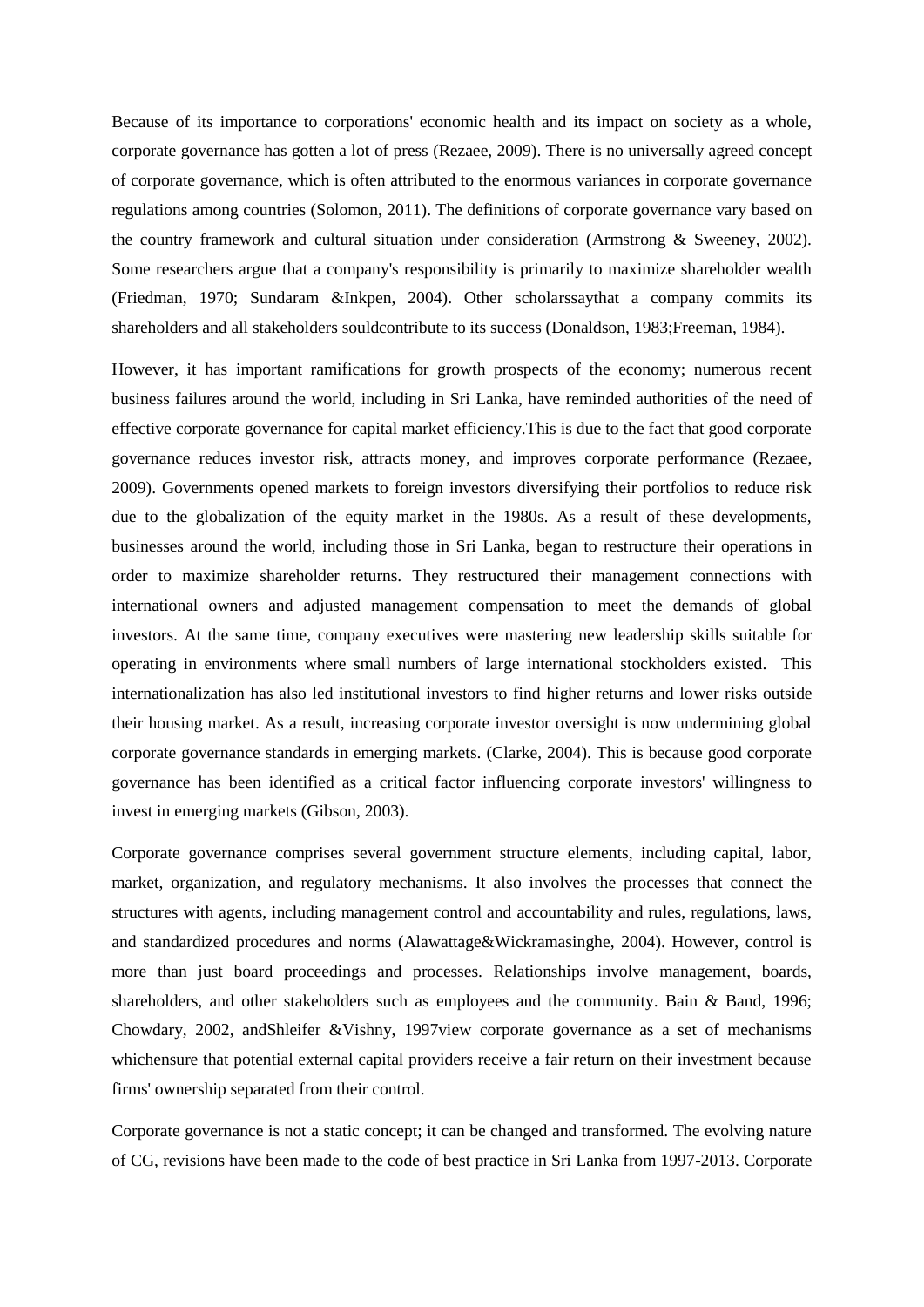Because of its importance to corporations' economic health and its impact on society as a whole, corporate governance has gotten a lot of press (Rezaee, 2009). There is no universally agreed concept of corporate governance, which is often attributed to the enormous variances in corporate governance regulations among countries (Solomon, 2011). The definitions of corporate governance vary based on the country framework and cultural situation under consideration (Armstrong & Sweeney, 2002). Some researchers argue that a company's responsibility is primarily to maximize shareholder wealth (Friedman, 1970; Sundaram &Inkpen, 2004). Other scholarssaythat a company commits its shareholders and all stakeholders souldcontribute to its success (Donaldson, 1983;Freeman, 1984).

However, it has important ramifications for growth prospects of the economy; numerous recent business failures around the world, including in Sri Lanka, have reminded authorities of the need of effective corporate governance for capital market efficiency.This is due to the fact that good corporate governance reduces investor risk, attracts money, and improves corporate performance (Rezaee, 2009). Governments opened markets to foreign investors diversifying their portfolios to reduce risk due to the globalization of the equity market in the 1980s. As a result of these developments, businesses around the world, including those in Sri Lanka, began to restructure their operations in order to maximize shareholder returns. They restructured their management connections with international owners and adjusted management compensation to meet the demands of global investors. At the same time, company executives were mastering new leadership skills suitable for operating in environments where small numbers of large international stockholders existed. This internationalization has also led institutional investors to find higher returns and lower risks outside their housing market. As a result, increasing corporate investor oversight is now undermining global corporate governance standards in emerging markets. (Clarke, 2004). This is because good corporate governance has been identified as a critical factor influencing corporate investors' willingness to invest in emerging markets (Gibson, 2003).

Corporate governance comprises several government structure elements, including capital, labor, market, organization, and regulatory mechanisms. It also involves the processes that connect the structures with agents, including management control and accountability and rules, regulations, laws, and standardized procedures and norms (Alawattage&Wickramasinghe, 2004). However, control is more than just board proceedings and processes. Relationships involve management, boards, shareholders, and other stakeholders such as employees and the community. Bain & Band, 1996; Chowdary, 2002, andShleifer &Vishny, 1997view corporate governance as a set of mechanisms whichensure that potential external capital providers receive a fair return on their investment because firms' ownership separated from their control.

Corporate governance is not a static concept; it can be changed and transformed. The evolving nature of CG, revisions have been made to the code of best practice in Sri Lanka from 1997-2013. Corporate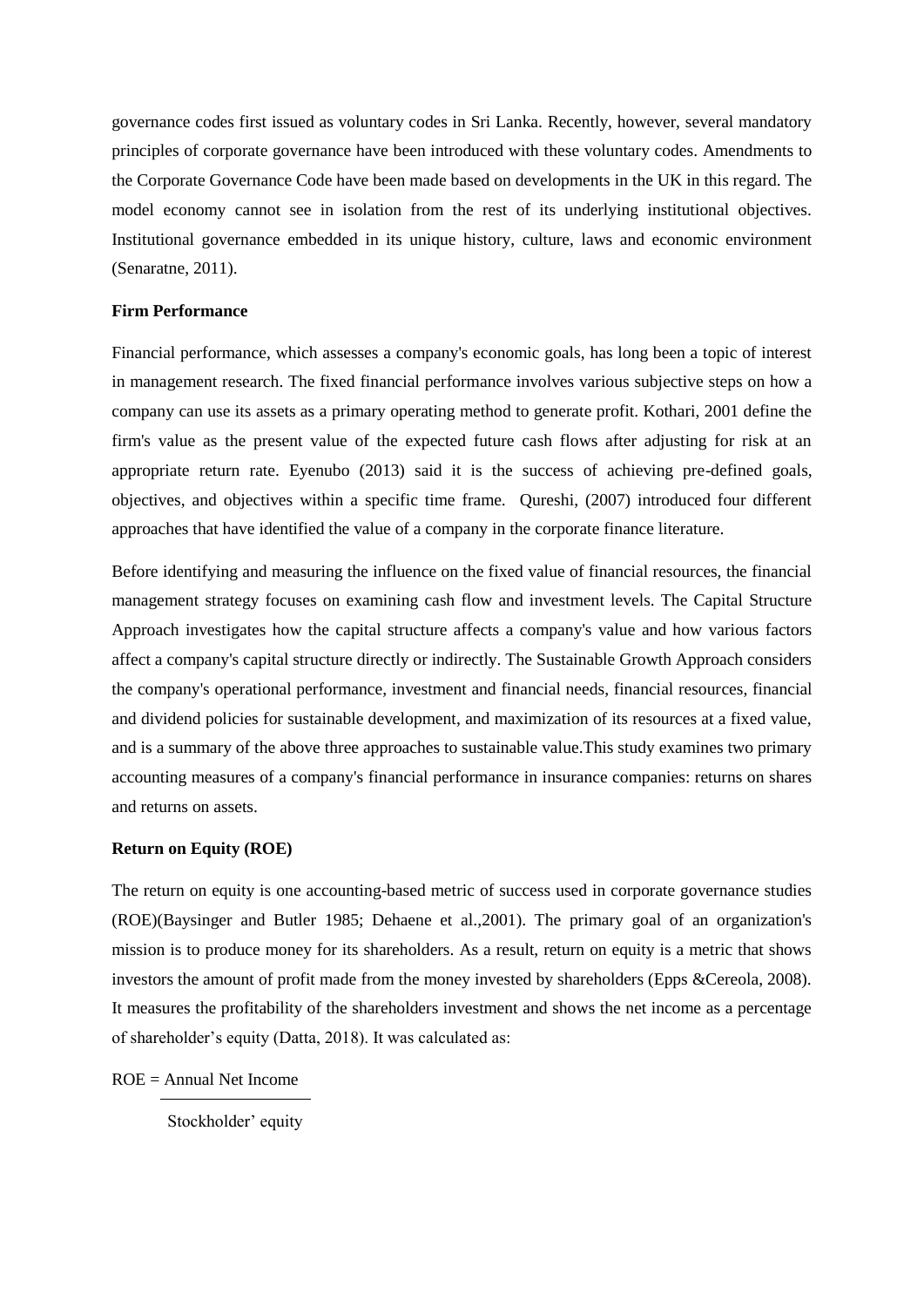governance codes first issued as voluntary codes in Sri Lanka. Recently, however, several mandatory principles of corporate governance have been introduced with these voluntary codes. Amendments to the Corporate Governance Code have been made based on developments in the UK in this regard. The model economy cannot see in isolation from the rest of its underlying institutional objectives. Institutional governance embedded in its unique history, culture, laws and economic environment (Senaratne, 2011).

#### **Firm Performance**

Financial performance, which assesses a company's economic goals, has long been a topic of interest in management research. The fixed financial performance involves various subjective steps on how a company can use its assets as a primary operating method to generate profit. Kothari, 2001 define the firm's value as the present value of the expected future cash flows after adjusting for risk at an appropriate return rate. Eyenubo (2013) said it is the success of achieving pre-defined goals, objectives, and objectives within a specific time frame. Qureshi, (2007) introduced four different approaches that have identified the value of a company in the corporate finance literature.

Before identifying and measuring the influence on the fixed value of financial resources, the financial management strategy focuses on examining cash flow and investment levels. The Capital Structure Approach investigates how the capital structure affects a company's value and how various factors affect a company's capital structure directly or indirectly. The Sustainable Growth Approach considers the company's operational performance, investment and financial needs, financial resources, financial and dividend policies for sustainable development, and maximization of its resources at a fixed value, and is a summary of the above three approaches to sustainable value.This study examines two primary accounting measures of a company's financial performance in insurance companies: returns on shares and returns on assets.

#### **Return on Equity (ROE)**

The return on equity is one accounting-based metric of success used in corporate governance studies (ROE)(Baysinger and Butler 1985; Dehaene et al.,2001). The primary goal of an organization's mission is to produce money for its shareholders. As a result, return on equity is a metric that shows investors the amount of profit made from the money invested by shareholders (Epps &Cereola, 2008). It measures the profitability of the shareholders investment and shows the net income as a percentage of shareholder's equity (Datta, 2018). It was calculated as:

 $ROE = Annual Net Income$ 

Stockholder' equity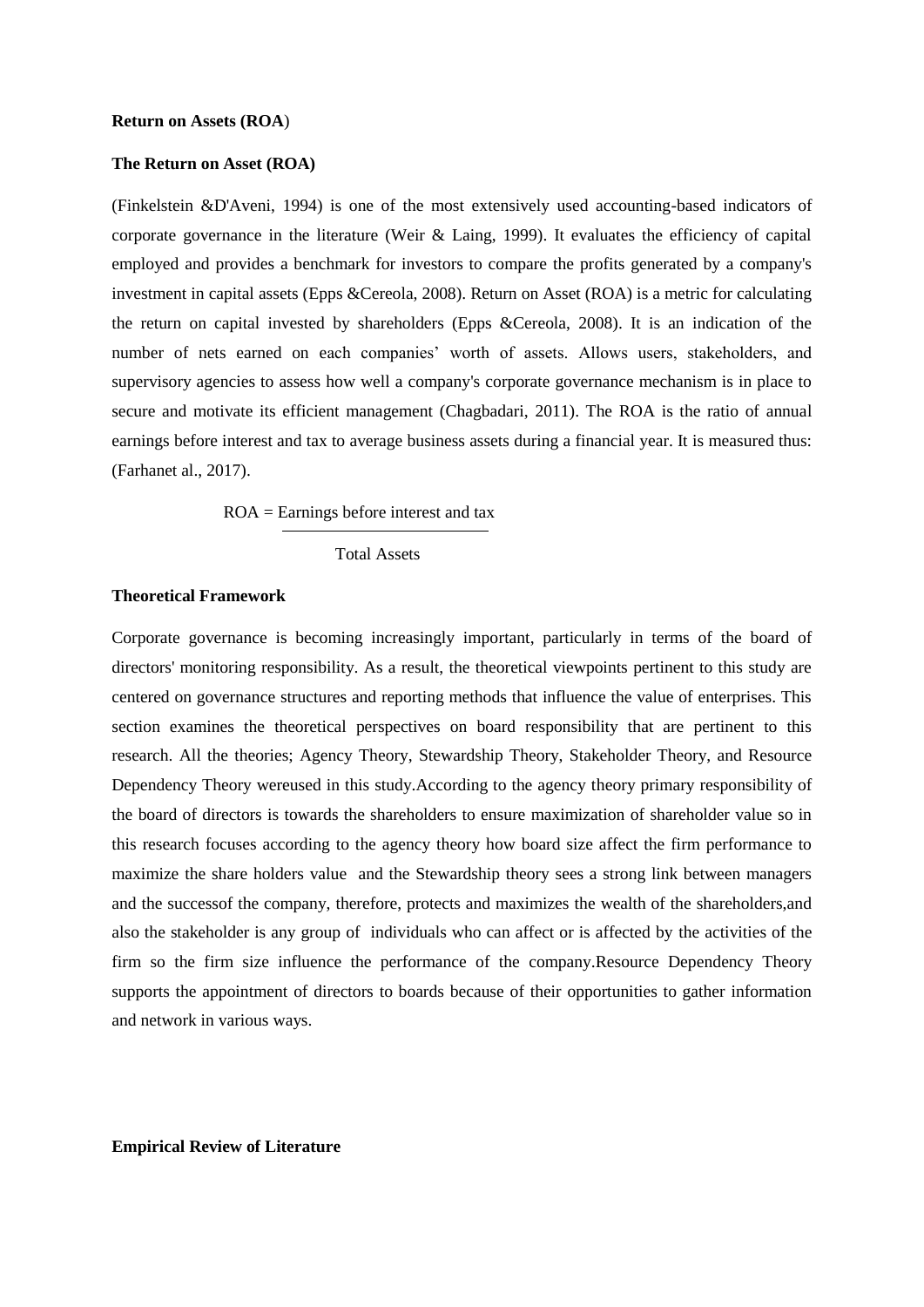### **The Return on Asset (ROA)**

(Finkelstein &D'Aveni, 1994) is one of the most extensively used accounting-based indicators of corporate governance in the literature (Weir & Laing, 1999). It evaluates the efficiency of capital employed and provides a benchmark for investors to compare the profits generated by a company's investment in capital assets (Epps &Cereola, 2008). Return on Asset (ROA) is a metric for calculating the return on capital invested by shareholders (Epps &Cereola, 2008). It is an indication of the number of nets earned on each companies' worth of assets. Allows users, stakeholders, and supervisory agencies to assess how well a company's corporate governance mechanism is in place to secure and motivate its efficient management (Chagbadari, 2011). The ROA is the ratio of annual earnings before interest and tax to average business assets during a financial year. It is measured thus: (Farhanet al., 2017).

ROA = Earnings before interest and tax

Total Assets

#### **Theoretical Framework**

Corporate governance is becoming increasingly important, particularly in terms of the board of directors' monitoring responsibility. As a result, the theoretical viewpoints pertinent to this study are centered on governance structures and reporting methods that influence the value of enterprises. This section examines the theoretical perspectives on board responsibility that are pertinent to this research. All the theories; Agency Theory, Stewardship Theory, Stakeholder Theory, and Resource Dependency Theory wereused in this study.According to the agency theory primary responsibility of the board of directors is towards the shareholders to ensure maximization of shareholder value so in this research focuses according to the agency theory how board size affect the firm performance to maximize the share holders value and the Stewardship theory sees a strong link between managers and the successof the company, therefore, protects and maximizes the wealth of the shareholders,and also the stakeholder is any group of individuals who can affect or is affected by the activities of the firm so the firm size influence the performance of the company.Resource Dependency Theory supports the appointment of directors to boards because of their opportunities to gather information and network in various ways.

**Empirical Review of Literature**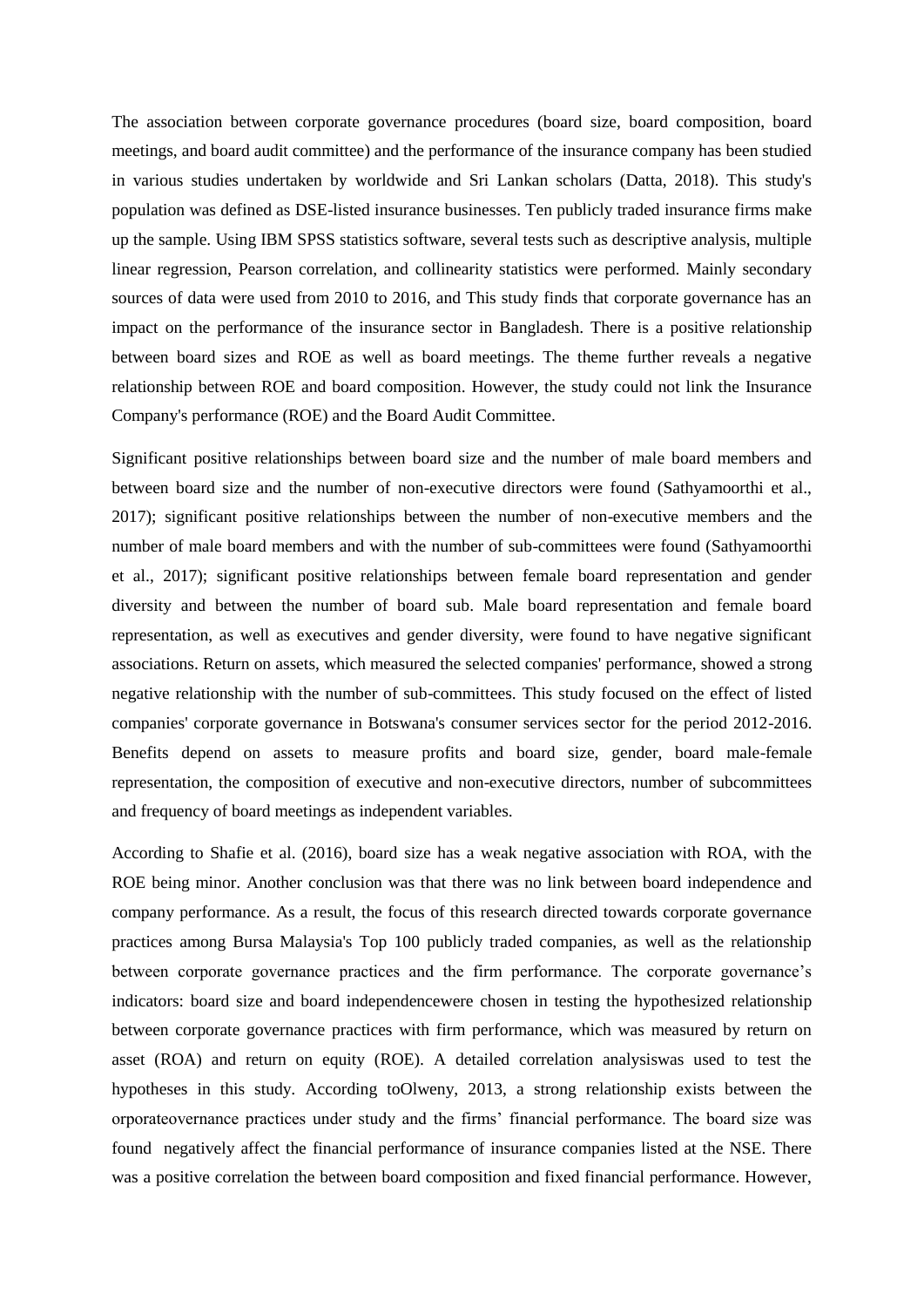The association between corporate governance procedures (board size, board composition, board meetings, and board audit committee) and the performance of the insurance company has been studied in various studies undertaken by worldwide and Sri Lankan scholars (Datta, 2018). This study's population was defined as DSE-listed insurance businesses. Ten publicly traded insurance firms make up the sample. Using IBM SPSS statistics software, several tests such as descriptive analysis, multiple linear regression, Pearson correlation, and collinearity statistics were performed. Mainly secondary sources of data were used from 2010 to 2016, and This study finds that corporate governance has an impact on the performance of the insurance sector in Bangladesh. There is a positive relationship between board sizes and ROE as well as board meetings. The theme further reveals a negative relationship between ROE and board composition. However, the study could not link the Insurance Company's performance (ROE) and the Board Audit Committee.

Significant positive relationships between board size and the number of male board members and between board size and the number of non-executive directors were found (Sathyamoorthi et al., 2017); significant positive relationships between the number of non-executive members and the number of male board members and with the number of sub-committees were found (Sathyamoorthi et al., 2017); significant positive relationships between female board representation and gender diversity and between the number of board sub. Male board representation and female board representation, as well as executives and gender diversity, were found to have negative significant associations. Return on assets, which measured the selected companies' performance, showed a strong negative relationship with the number of sub-committees. This study focused on the effect of listed companies' corporate governance in Botswana's consumer services sector for the period 2012-2016. Benefits depend on assets to measure profits and board size, gender, board male-female representation, the composition of executive and non-executive directors, number of subcommittees and frequency of board meetings as independent variables.

According to Shafie et al. (2016), board size has a weak negative association with ROA, with the ROE being minor. Another conclusion was that there was no link between board independence and company performance. As a result, the focus of this research directed towards corporate governance practices among Bursa Malaysia's Top 100 publicly traded companies, as well as the relationship between corporate governance practices and the firm performance. The corporate governance's indicators: board size and board independencewere chosen in testing the hypothesized relationship between corporate governance practices with firm performance, which was measured by return on asset (ROA) and return on equity (ROE). A detailed correlation analysiswas used to test the hypotheses in this study. According toOlweny, 2013, a strong relationship exists between the orporateovernance practices under study and the firms' financial performance. The board size was found negatively affect the financial performance of insurance companies listed at the NSE. There was a positive correlation the between board composition and fixed financial performance. However,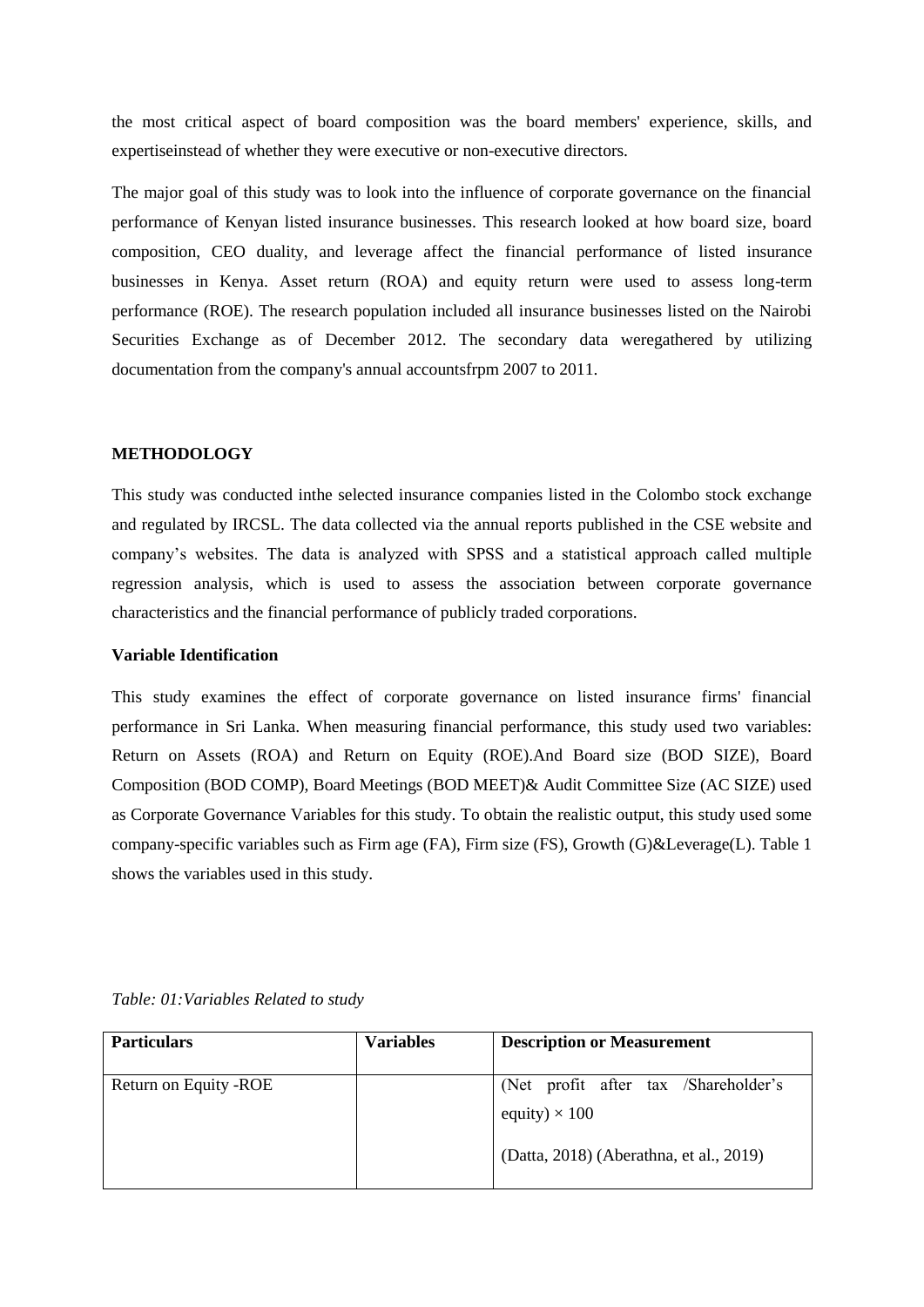the most critical aspect of board composition was the board members' experience, skills, and expertiseinstead of whether they were executive or non-executive directors.

The major goal of this study was to look into the influence of corporate governance on the financial performance of Kenyan listed insurance businesses. This research looked at how board size, board composition, CEO duality, and leverage affect the financial performance of listed insurance businesses in Kenya. Asset return (ROA) and equity return were used to assess long-term performance (ROE). The research population included all insurance businesses listed on the Nairobi Securities Exchange as of December 2012. The secondary data weregathered by utilizing documentation from the company's annual accountsfrpm 2007 to 2011.

## **METHODOLOGY**

This study was conducted inthe selected insurance companies listed in the Colombo stock exchange and regulated by IRCSL. The data collected via the annual reports published in the CSE website and company's websites. The data is analyzed with SPSS and a statistical approach called multiple regression analysis, which is used to assess the association between corporate governance characteristics and the financial performance of publicly traded corporations.

## **Variable Identification**

This study examines the effect of corporate governance on listed insurance firms' financial performance in Sri Lanka. When measuring financial performance, this study used two variables: Return on Assets (ROA) and Return on Equity (ROE).And Board size (BOD SIZE), Board Composition (BOD COMP), Board Meetings (BOD MEET)& Audit Committee Size (AC SIZE) used as Corporate Governance Variables for this study. To obtain the realistic output, this study used some company-specific variables such as Firm age (FA), Firm size (FS), Growth (G)&Leverage(L). Table 1 shows the variables used in this study.

| <b>Particulars</b>     | <b>Variables</b> | <b>Description or Measurement</b>                            |
|------------------------|------------------|--------------------------------------------------------------|
| Return on Equity - ROE |                  | (Net profit after tax /Shareholder's<br>equity) $\times$ 100 |
|                        |                  | (Datta, 2018) (Aberathna, et al., 2019)                      |

*Table: 01:Variables Related to study*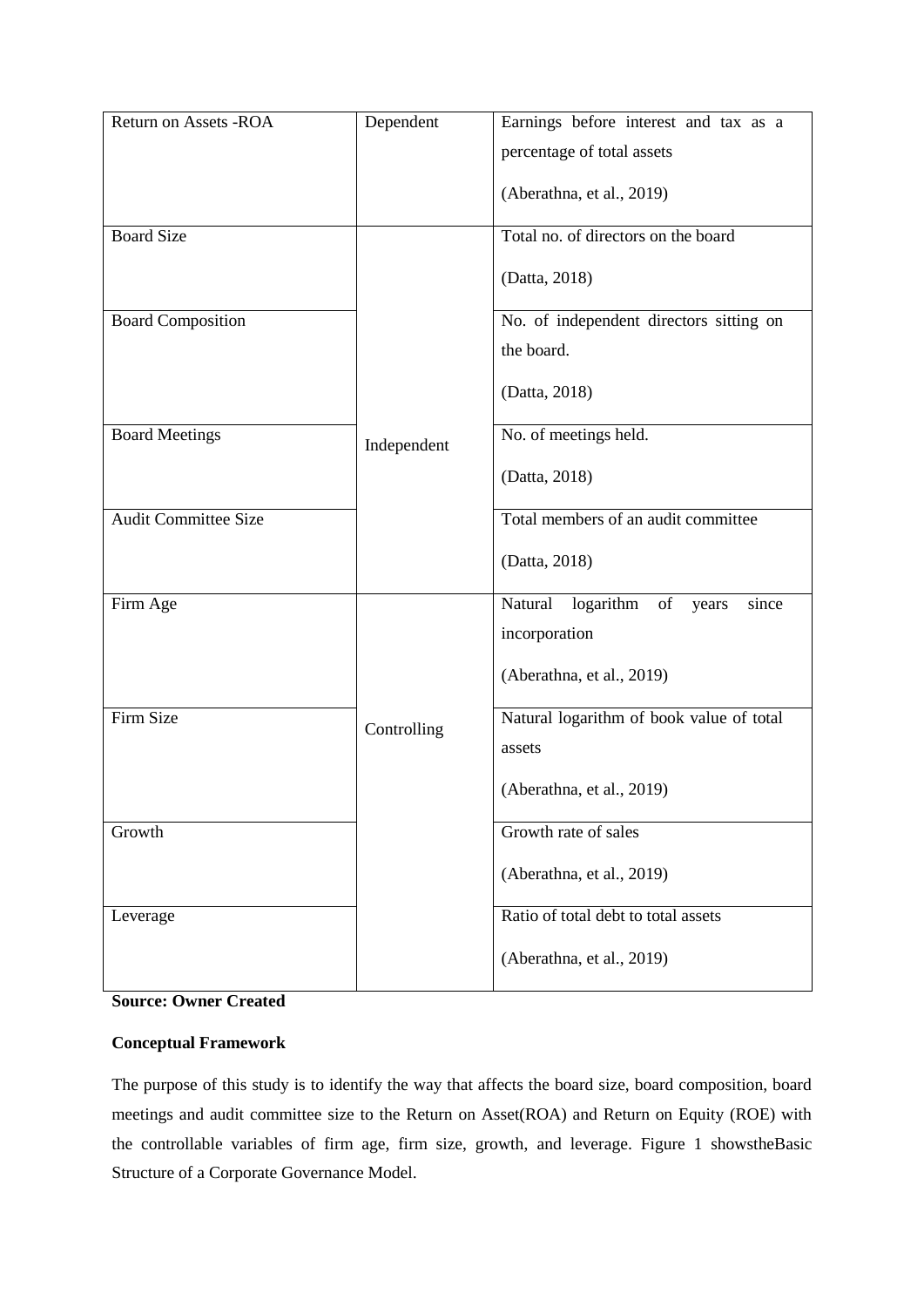| Return on Assets -ROA       | Dependent   | Earnings before interest and tax as a     |
|-----------------------------|-------------|-------------------------------------------|
|                             |             | percentage of total assets                |
|                             |             | (Aberathna, et al., 2019)                 |
|                             |             |                                           |
| <b>Board Size</b>           |             | Total no. of directors on the board       |
|                             |             | (Datta, 2018)                             |
| <b>Board Composition</b>    |             | No. of independent directors sitting on   |
|                             |             | the board.                                |
|                             |             | (Datta, 2018)                             |
| <b>Board Meetings</b>       | Independent | No. of meetings held.                     |
|                             |             | (Datta, 2018)                             |
| <b>Audit Committee Size</b> |             | Total members of an audit committee       |
|                             |             | (Datta, 2018)                             |
| Firm Age                    |             | Natural<br>logarithm of<br>since<br>years |
|                             |             | incorporation                             |
|                             |             | (Aberathna, et al., 2019)                 |
| <b>Firm Size</b>            |             | Natural logarithm of book value of total  |
|                             | Controlling | assets                                    |
|                             |             | (Aberathna, et al., 2019)                 |
| Growth                      |             | Growth rate of sales                      |
|                             |             | (Aberathna, et al., 2019)                 |
| Leverage                    |             | Ratio of total debt to total assets       |
|                             |             | (Aberathna, et al., 2019)                 |

**Source: Owner Created**

## **Conceptual Framework**

The purpose of this study is to identify the way that affects the board size, board composition, board meetings and audit committee size to the Return on Asset(ROA) and Return on Equity (ROE) with the controllable variables of firm age, firm size, growth, and leverage. Figure 1 showstheBasic Structure of a Corporate Governance Model.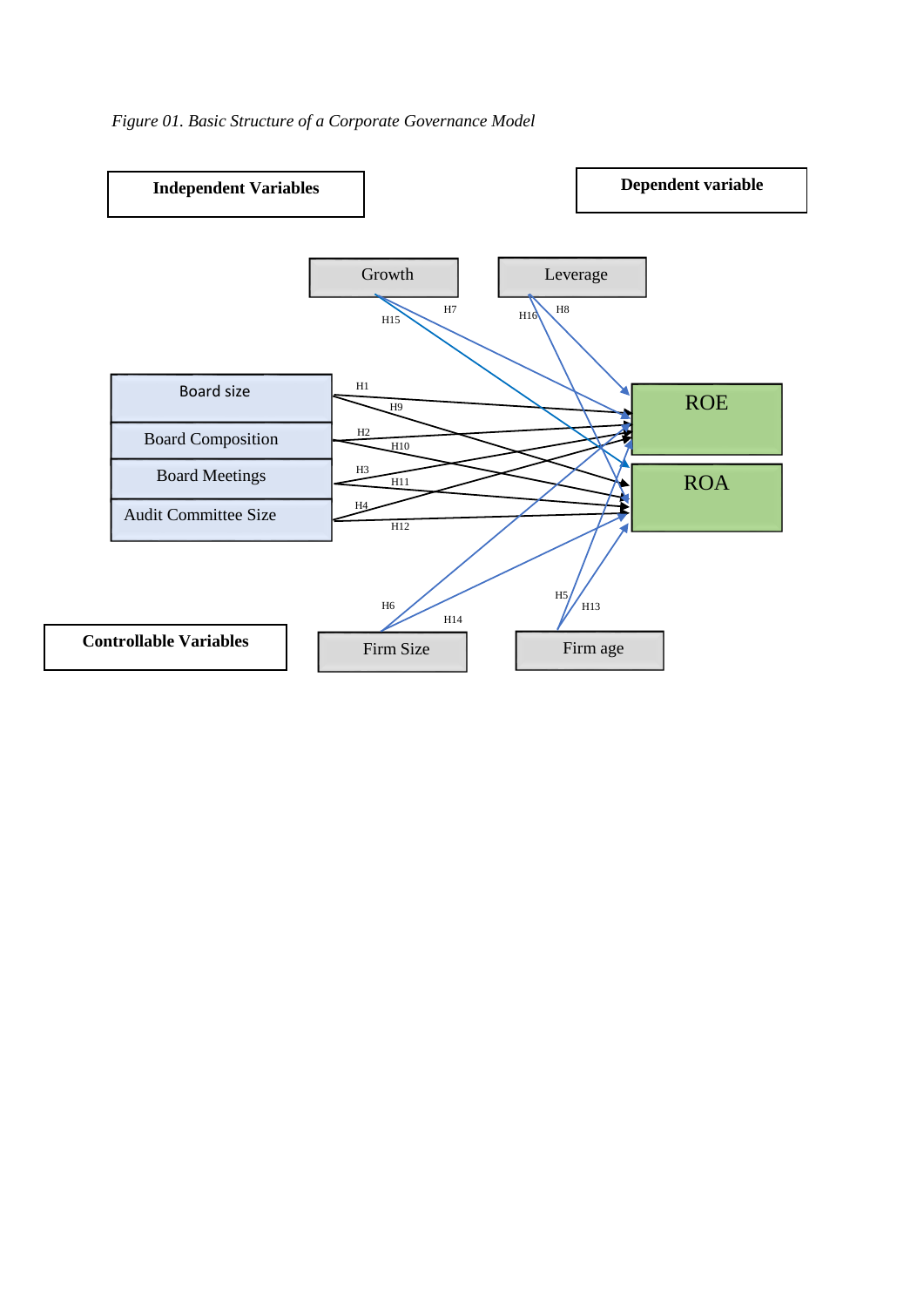

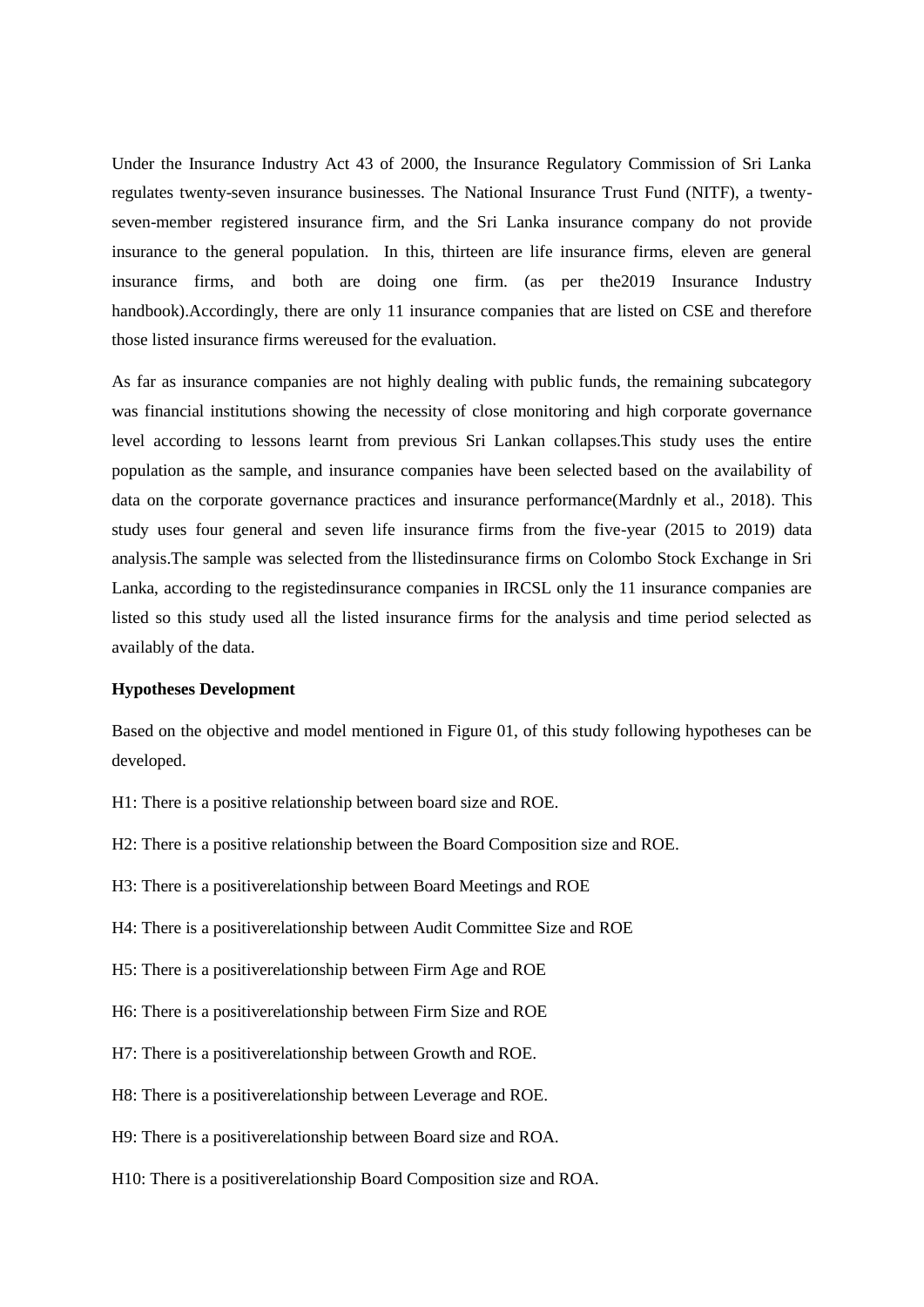Under the Insurance Industry Act 43 of 2000, the Insurance Regulatory Commission of Sri Lanka regulates twenty-seven insurance businesses. The National Insurance Trust Fund (NITF), a twentyseven-member registered insurance firm, and the Sri Lanka insurance company do not provide insurance to the general population. In this, thirteen are life insurance firms, eleven are general insurance firms, and both are doing one firm. (as per the2019 Insurance Industry handbook).Accordingly, there are only 11 insurance companies that are listed on CSE and therefore those listed insurance firms wereused for the evaluation.

As far as insurance companies are not highly dealing with public funds, the remaining subcategory was financial institutions showing the necessity of close monitoring and high corporate governance level according to lessons learnt from previous Sri Lankan collapses.This study uses the entire population as the sample, and insurance companies have been selected based on the availability of data on the corporate governance practices and insurance performance(Mardnly et al., 2018). This study uses four general and seven life insurance firms from the five-year (2015 to 2019) data analysis.The sample was selected from the llistedinsurance firms on Colombo Stock Exchange in Sri Lanka, according to the registedinsurance companies in IRCSL only the 11 insurance companies are listed so this study used all the listed insurance firms for the analysis and time period selected as availably of the data.

## **Hypotheses Development**

Based on the objective and model mentioned in Figure 01, of this study following hypotheses can be developed.

H1: There is a positive relationship between board size and ROE.

H2: There is a positive relationship between the Board Composition size and ROE.

H3: There is a positiverelationship between Board Meetings and ROE

H4: There is a positiverelationship between Audit Committee Size and ROE

H5: There is a positiverelationship between Firm Age and ROE

H6: There is a positiverelationship between Firm Size and ROE

H7: There is a positiverelationship between Growth and ROE.

H8: There is a positiverelationship between Leverage and ROE.

H9: There is a positiverelationship between Board size and ROA.

H10: There is a positiverelationship Board Composition size and ROA.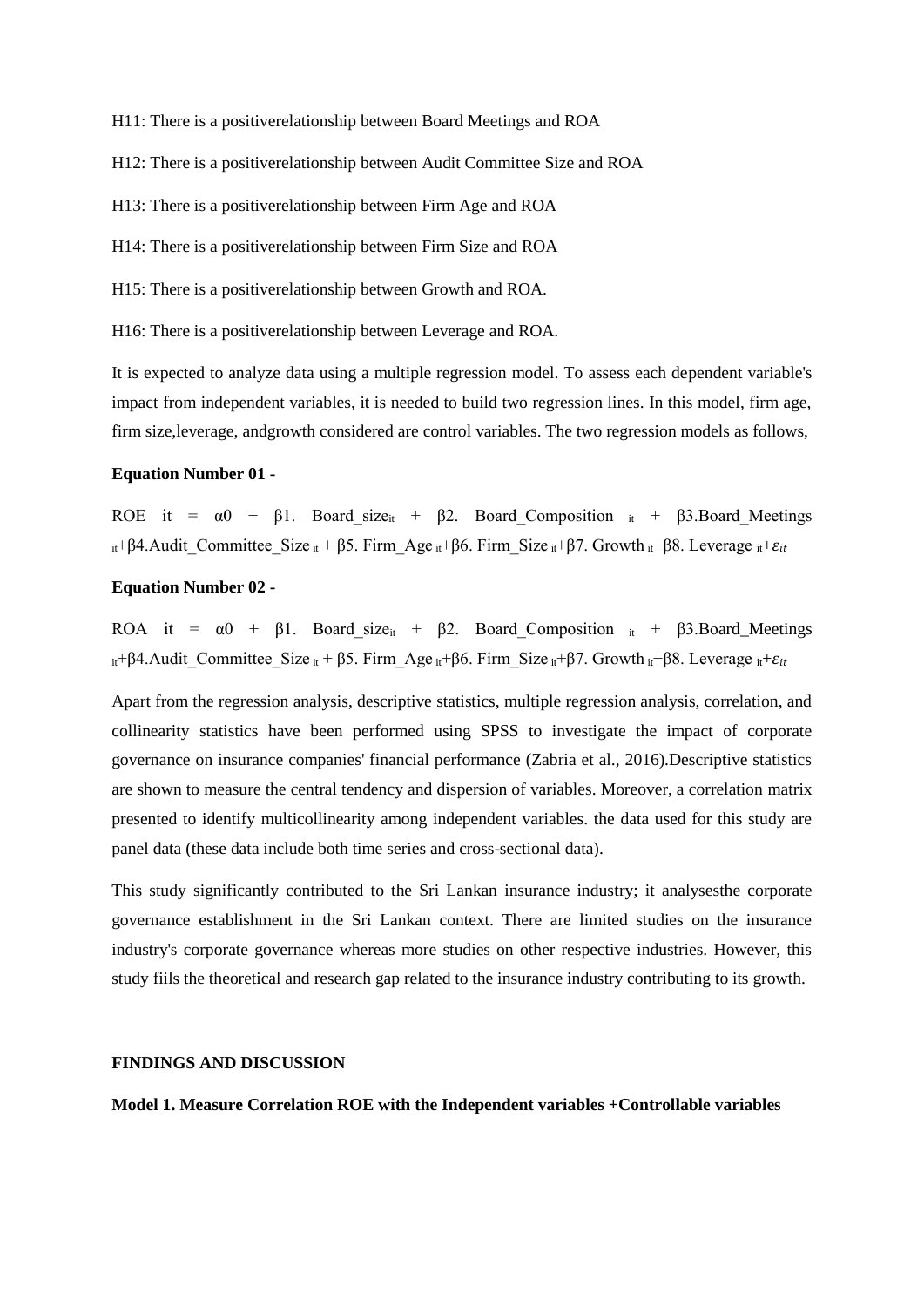H11: There is a positiverelationship between Board Meetings and ROA

H12: There is a positiverelationship between Audit Committee Size and ROA

H13: There is a positiverelationship between Firm Age and ROA

H14: There is a positiverelationship between Firm Size and ROA

H15: There is a positiverelationship between Growth and ROA.

H16: There is a positiverelationship between Leverage and ROA.

It is expected to analyze data using a multiple regression model. To assess each dependent variable's impact from independent variables, it is needed to build two regression lines. In this model, firm age, firm size,leverage, andgrowth considered are control variables. The two regression models as follows,

## **Equation Number 01 -**

ROE it =  $\alpha$ 0 + β1. Board size<sub>it</sub> + β2. Board Composition <sub>it</sub> + β3.Board Meetings it + β4. Audit Committee Size it + β5. Firm Age it + β6. Firm Size it + β7. Growth it + β8. Leverage it +  $\varepsilon_{it}$ 

## **Equation Number 02 -**

ROA it =  $\alpha$ 0 +  $\beta$ 1. Board size<sub>it</sub> +  $\beta$ 2. Board\_Composition <sub>it</sub> +  $\beta$ 3. Board\_Meetings it + β4. Audit Committee Size it + β5. Firm Age it + β6. Firm Size it + β7. Growth it + β8. Leverage it +  $\varepsilon_{it}$ 

Apart from the regression analysis, descriptive statistics, multiple regression analysis, correlation, and collinearity statistics have been performed using SPSS to investigate the impact of corporate governance on insurance companies' financial performance (Zabria et al., 2016).Descriptive statistics are shown to measure the central tendency and dispersion of variables. Moreover, a correlation matrix presented to identify multicollinearity among independent variables. the data used for this study are panel data (these data include both time series and cross-sectional data).

This study significantly contributed to the Sri Lankan insurance industry; it analysesthe corporate governance establishment in the Sri Lankan context. There are limited studies on the insurance industry's corporate governance whereas more studies on other respective industries. However, this study fiils the theoretical and research gap related to the insurance industry contributing to its growth.

#### **FINDINGS AND DISCUSSION**

**Model 1. Measure Correlation ROE with the Independent variables +Controllable variables**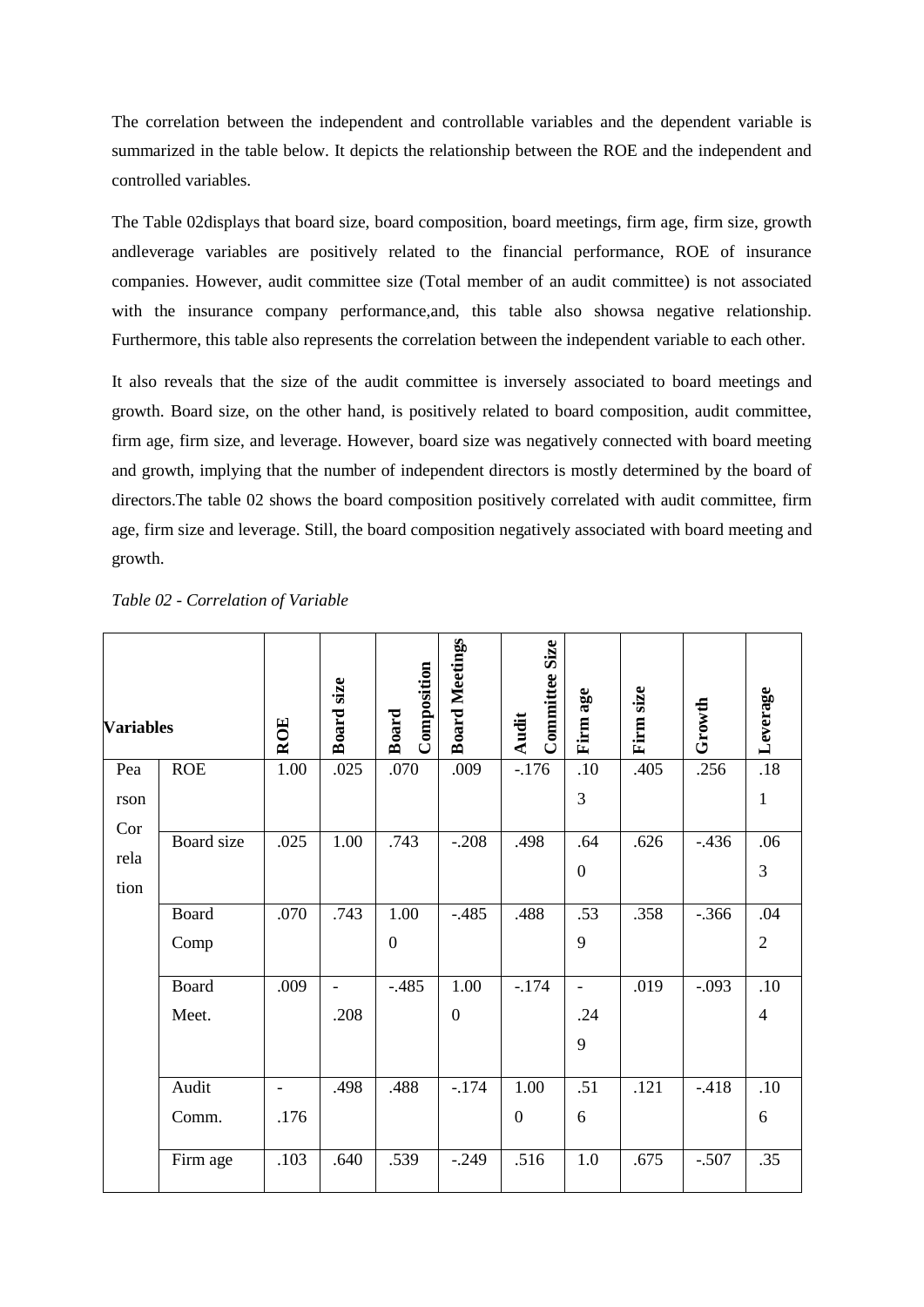The correlation between the independent and controllable variables and the dependent variable is summarized in the table below. It depicts the relationship between the ROE and the independent and controlled variables.

The Table 02displays that board size, board composition, board meetings, firm age, firm size, growth andleverage variables are positively related to the financial performance, ROE of insurance companies. However, audit committee size (Total member of an audit committee) is not associated with the insurance company performance, and, this table also shows negative relationship. Furthermore, this table also represents the correlation between the independent variable to each other.

It also reveals that the size of the audit committee is inversely associated to board meetings and growth. Board size, on the other hand, is positively related to board composition, audit committee, firm age, firm size, and leverage. However, board size was negatively connected with board meeting and growth, implying that the number of independent directors is mostly determined by the board of directors.The table 02 shows the board composition positively correlated with audit committee, firm age, firm size and leverage. Still, the board composition negatively associated with board meeting and growth.

| <b>Variables</b> |              | <b>ROE</b>               | Board size               | Composition<br>Board | <b>Board Meetings</b> | Committee Size<br><b>Audit</b> | Firm age                 | Firm size | Growth  | Leverage       |
|------------------|--------------|--------------------------|--------------------------|----------------------|-----------------------|--------------------------------|--------------------------|-----------|---------|----------------|
| Pea              | <b>ROE</b>   | 1.00                     | .025                     | .070                 | .009                  | $-176$                         | .10                      | .405      | .256    | .18            |
| rson             |              |                          |                          |                      |                       |                                | 3                        |           |         | $\mathbf{1}$   |
| Cor              | Board size   | .025                     | 1.00                     | .743                 | $-.208$               | .498                           | .64                      | .626      | $-436$  | .06            |
| rela             |              |                          |                          |                      |                       |                                | $\boldsymbol{0}$         |           |         | 3              |
| tion             |              |                          |                          |                      |                       |                                |                          |           |         |                |
|                  | Board        | .070                     | .743                     | 1.00                 | $-.485$               | .488                           | .53                      | .358      | $-.366$ | .04            |
|                  | Comp         |                          |                          | $\boldsymbol{0}$     |                       |                                | 9                        |           |         | $\sqrt{2}$     |
|                  | <b>Board</b> | .009                     | $\overline{\phantom{a}}$ | $-.485$              | 1.00                  | $-.174$                        | $\overline{\phantom{a}}$ | .019      | $-.093$ | .10            |
|                  | Meet.        |                          | .208                     |                      | $\boldsymbol{0}$      |                                | .24                      |           |         | $\overline{4}$ |
|                  |              |                          |                          |                      |                       |                                | 9                        |           |         |                |
|                  | Audit        | $\overline{\phantom{a}}$ | .498                     | .488                 | $-174$                | 1.00                           | .51                      | .121      | $-418$  | .10            |
|                  | Comm.        | .176                     |                          |                      |                       | $\boldsymbol{0}$               | 6                        |           |         | 6              |
|                  | Firm age     | .103                     | .640                     | .539                 | $-.249$               | .516                           | 1.0                      | .675      | $-.507$ | .35            |

*Table 02 - Correlation of Variable*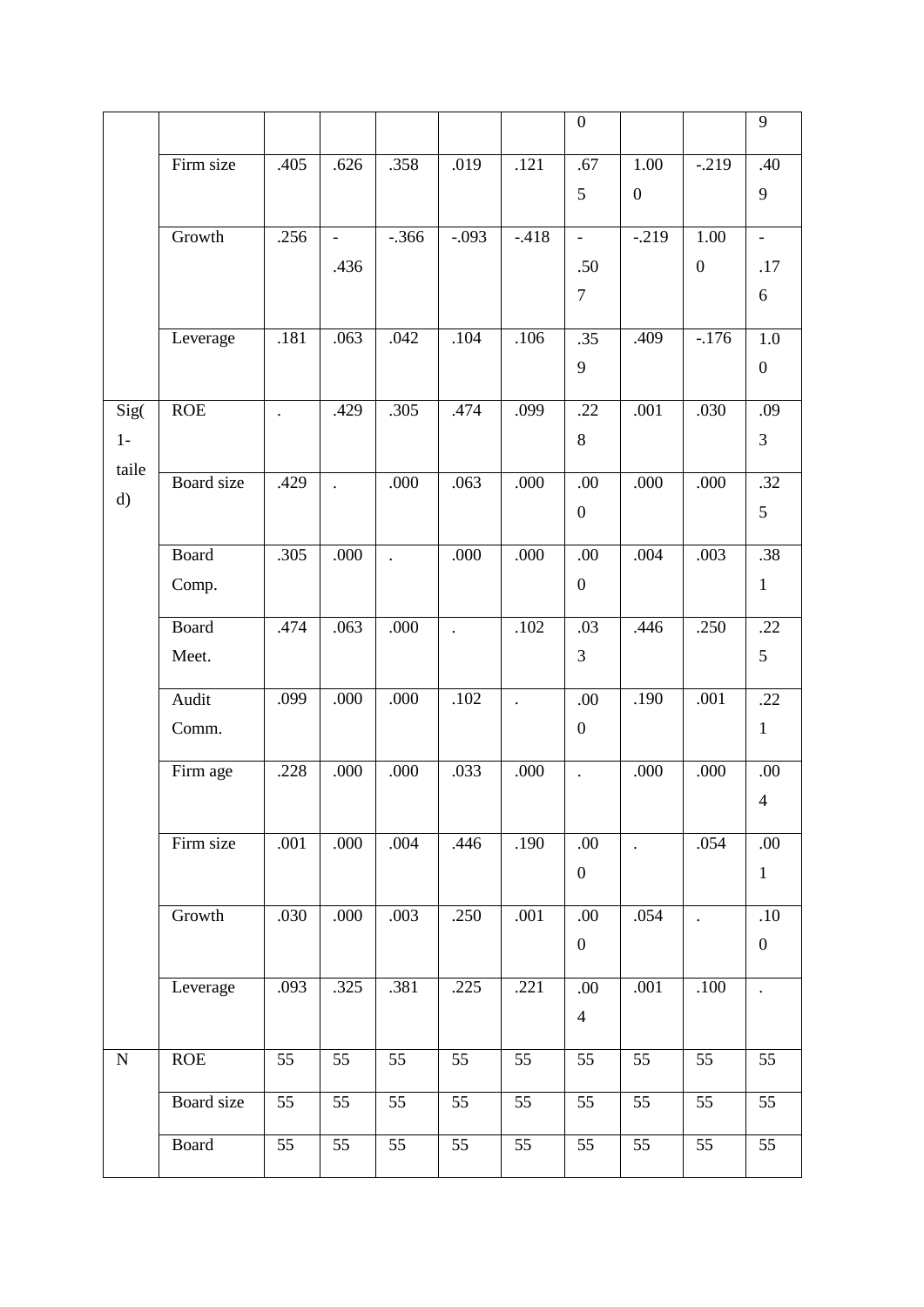|               |            |                      |                          |                      |                      |                 | $\boldsymbol{0}$         |                      |                      | 9                        |
|---------------|------------|----------------------|--------------------------|----------------------|----------------------|-----------------|--------------------------|----------------------|----------------------|--------------------------|
|               | Firm size  | .405                 | .626                     | .358                 | .019                 | .121            | .67                      | 1.00                 | $-.219$              | .40                      |
|               |            |                      |                          |                      |                      |                 | 5                        | $\boldsymbol{0}$     |                      | 9                        |
|               | Growth     | .256                 | $\overline{\phantom{a}}$ | $-.366$              | $-.093$              | $-.418$         | $\overline{\phantom{a}}$ | $-.219$              | 1.00                 | $\overline{\phantom{a}}$ |
|               |            |                      | .436                     |                      |                      |                 | .50                      |                      | $\boldsymbol{0}$     | .17                      |
|               |            |                      |                          |                      |                      |                 | $\overline{7}$           |                      |                      | 6                        |
|               | Leverage   | .181                 | .063                     | .042                 | .104                 | .106            | .35                      | .409                 | $-176$               | 1.0                      |
|               |            |                      |                          |                      |                      |                 | 9                        |                      |                      | $\boldsymbol{0}$         |
| Sig(          | ROE        | $\ddot{\phantom{0}}$ | .429                     | .305                 | .474                 | .099            | .22                      | .001                 | .030                 | .09                      |
| $1-$<br>taile |            |                      |                          |                      |                      |                 | $8\,$                    |                      |                      | $\overline{3}$           |
| d)            | Board size | .429                 | $\ddot{\phantom{a}}$     | .000                 | .063                 | .000            | .00                      | .000                 | .000                 | .32                      |
|               |            |                      |                          |                      |                      |                 | $\boldsymbol{0}$         |                      |                      | 5                        |
|               | Board      | .305                 | .000                     | $\ddot{\phantom{a}}$ | .000                 | .000            | .00                      | .004                 | .003                 | .38                      |
|               | Comp.      |                      |                          |                      |                      |                 | $\boldsymbol{0}$         |                      |                      | $\mathbf{1}$             |
|               | Board      | .474                 | .063                     | .000                 | $\ddot{\phantom{a}}$ | .102            | .03                      | .446                 | .250                 | .22                      |
|               | Meet.      |                      |                          |                      |                      |                 | 3                        |                      |                      | 5                        |
|               | Audit      | .099                 | .000                     | .000                 | .102                 |                 | .00                      | .190                 | .001                 | .22                      |
|               | Comm.      |                      |                          |                      |                      |                 | $\boldsymbol{0}$         |                      |                      | $\mathbf{1}$             |
|               | Firm age   | .228                 | .000                     | .000                 | .033                 | .000            | $\ddot{\phantom{a}}$     | .000                 | .000                 | .00                      |
|               |            |                      |                          |                      |                      |                 |                          |                      |                      | $\overline{4}$           |
|               | Firm size  | .001                 | .000                     | .004                 | .446                 | .190            | .00                      | $\ddot{\phantom{a}}$ | .054                 | .00.                     |
|               |            |                      |                          |                      |                      |                 | $\boldsymbol{0}$         |                      |                      | $\mathbf{1}$             |
|               | Growth     | .030                 | .000                     | .003                 | .250                 | .001            | .00                      | .054                 | $\ddot{\phantom{a}}$ | $.10\,$                  |
|               |            |                      |                          |                      |                      |                 | $\boldsymbol{0}$         |                      |                      | $\boldsymbol{0}$         |
|               | Leverage   | .093                 | .325                     | .381                 | .225                 | .221            | .00.                     | .001                 | .100                 | $\ddot{\phantom{a}}$     |
|               |            |                      |                          |                      |                      |                 | $\overline{4}$           |                      |                      |                          |
| ${\bf N}$     | ROE        | 55                   | 55                       | 55                   | 55                   | 55              | 55                       | 55                   | 55                   | $\overline{55}$          |
|               | Board size | 55                   | 55                       | 55                   | 55                   | 55              | 55                       | 55                   | 55                   | 55                       |
|               | Board      | $\overline{55}$      | $\overline{55}$          | $\overline{55}$      | $\overline{55}$      | $\overline{55}$ | $\overline{55}$          | $\overline{55}$      | $\overline{55}$      | $\overline{55}$          |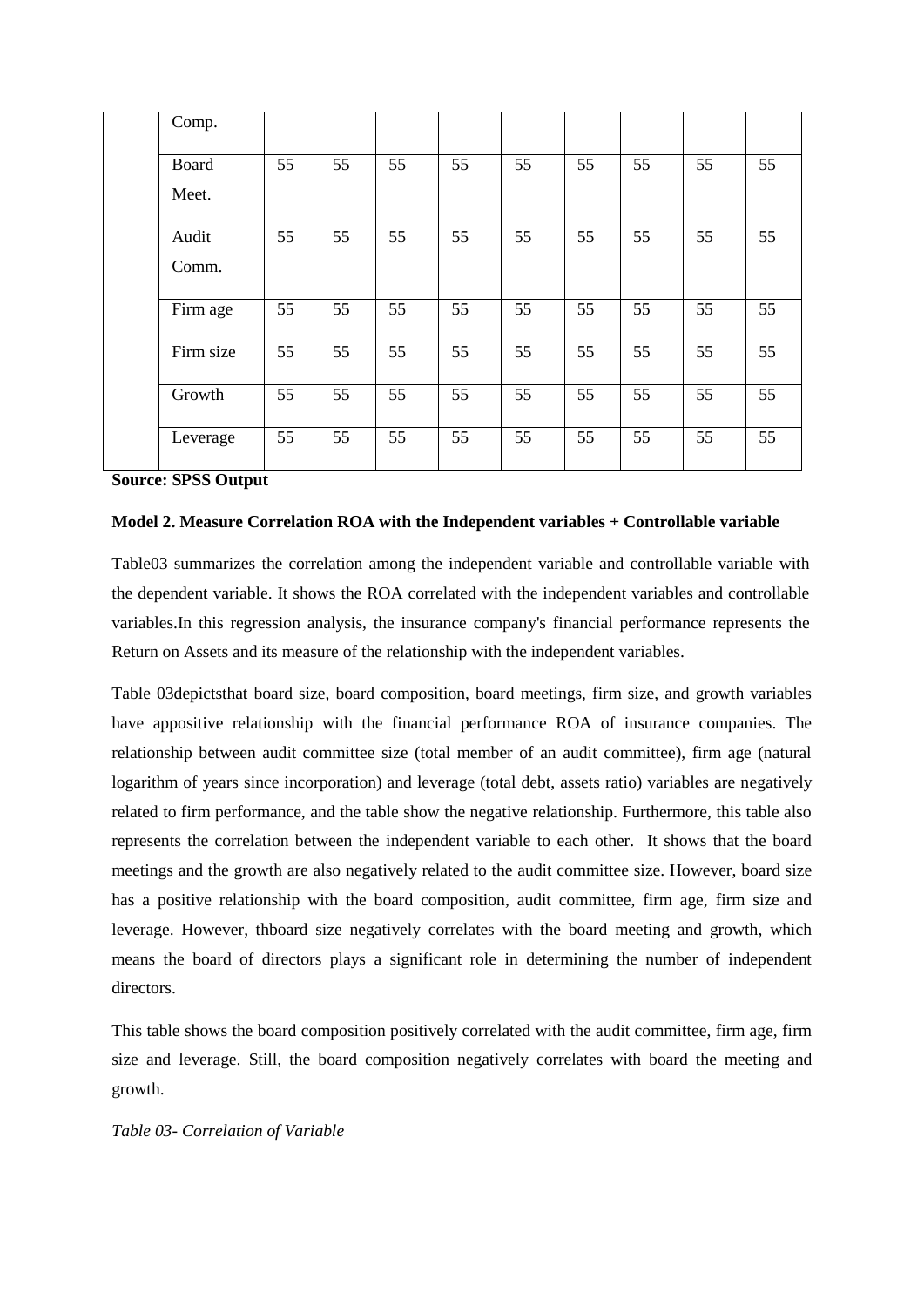| Comp.        |    |    |    |    |    |    |    |    |    |
|--------------|----|----|----|----|----|----|----|----|----|
| <b>Board</b> | 55 | 55 | 55 | 55 | 55 | 55 | 55 | 55 | 55 |
| Meet.        |    |    |    |    |    |    |    |    |    |
| Audit        | 55 | 55 | 55 | 55 | 55 | 55 | 55 | 55 | 55 |
| Comm.        |    |    |    |    |    |    |    |    |    |
| Firm age     | 55 | 55 | 55 | 55 | 55 | 55 | 55 | 55 | 55 |
| Firm size    | 55 | 55 | 55 | 55 | 55 | 55 | 55 | 55 | 55 |
| Growth       | 55 | 55 | 55 | 55 | 55 | 55 | 55 | 55 | 55 |
| Leverage     | 55 | 55 | 55 | 55 | 55 | 55 | 55 | 55 | 55 |

**Source: SPSS Output**

## **Model 2. Measure Correlation ROA with the Independent variables + Controllable variable**

Table03 summarizes the correlation among the independent variable and controllable variable with the dependent variable. It shows the ROA correlated with the independent variables and controllable variables.In this regression analysis, the insurance company's financial performance represents the Return on Assets and its measure of the relationship with the independent variables.

Table 03depictsthat board size, board composition, board meetings, firm size, and growth variables have appositive relationship with the financial performance ROA of insurance companies. The relationship between audit committee size (total member of an audit committee), firm age (natural logarithm of years since incorporation) and leverage (total debt, assets ratio) variables are negatively related to firm performance, and the table show the negative relationship. Furthermore, this table also represents the correlation between the independent variable to each other. It shows that the board meetings and the growth are also negatively related to the audit committee size. However, board size has a positive relationship with the board composition, audit committee, firm age, firm size and leverage. However, thboard size negatively correlates with the board meeting and growth, which means the board of directors plays a significant role in determining the number of independent directors.

This table shows the board composition positively correlated with the audit committee, firm age, firm size and leverage. Still, the board composition negatively correlates with board the meeting and growth.

#### *Table 03- Correlation of Variable*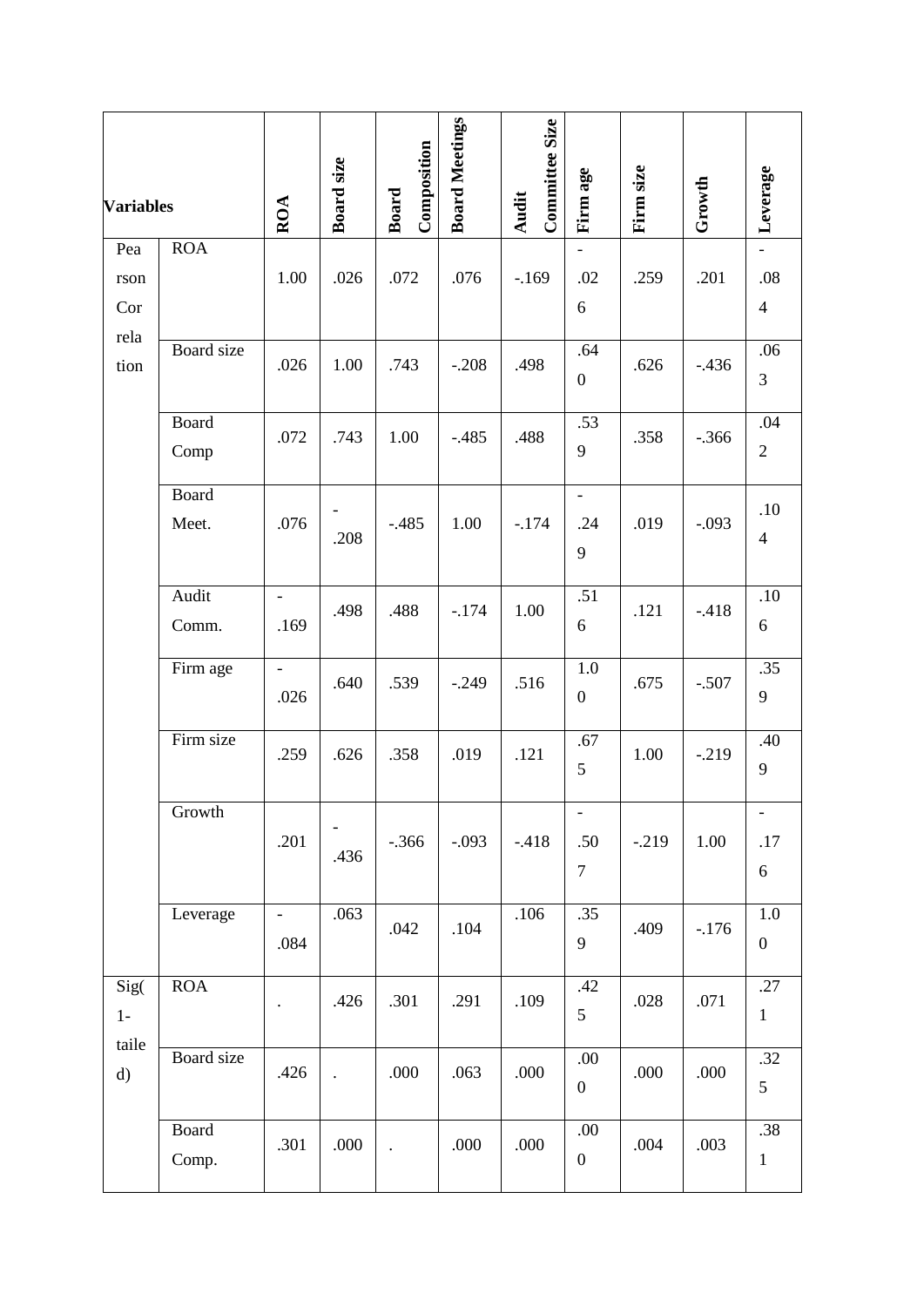| <b>Variables</b>      |                       | ROA                    | Board size           | Composition<br><b>Board</b> | <b>Board Meetings</b> | Committee Size<br>Audit | Firm age                                            | Firm size | Growth  | Leverage                       |
|-----------------------|-----------------------|------------------------|----------------------|-----------------------------|-----------------------|-------------------------|-----------------------------------------------------|-----------|---------|--------------------------------|
| Pea                   | <b>ROA</b>            |                        |                      |                             |                       |                         | $\overline{\phantom{a}}$                            |           |         | $\overline{\phantom{a}}$       |
| rson                  |                       | 1.00                   | .026                 | .072                        | .076                  | $-169$                  | .02                                                 | .259      | .201    | .08                            |
| Cor                   |                       |                        |                      |                             |                       |                         | 6                                                   |           |         | $\overline{4}$                 |
| rela<br>tion          | <b>Board</b> size     | .026                   | 1.00                 | .743                        | $-.208$               | .498                    | .64<br>$\boldsymbol{0}$                             | .626      | $-436$  | .06<br>3                       |
|                       | <b>Board</b><br>Comp  | .072                   | .743                 | 1.00                        | $-.485$               | .488                    | .53<br>9                                            | .358      | $-.366$ | .04<br>$\overline{2}$          |
|                       | <b>Board</b><br>Meet. | .076                   | .208                 | $-.485$                     | 1.00                  | $-.174$                 | $\blacksquare$<br>.24<br>9                          | .019      | $-.093$ | .10<br>$\overline{4}$          |
|                       | Audit<br>Comm.        | $\blacksquare$<br>.169 | .498                 | .488                        | $-.174$               | 1.00                    | $\overline{.51}$<br>6                               | .121      | $-418$  | $.10\,$<br>6                   |
|                       | Firm age              | $\overline{a}$<br>.026 | .640                 | .539                        | $-.249$               | .516                    | $1.0\,$<br>$\boldsymbol{0}$                         | .675      | $-.507$ | .35<br>9                       |
|                       | Firm size             | .259                   | .626                 | .358                        | .019                  | .121                    | .67<br>5                                            | 1.00      | $-219$  | .40<br>9                       |
|                       | Growth                | .201                   | .436                 | $-.366$                     | $-.093$               | $-418$                  | $\overline{\phantom{a}}$<br>.50<br>$\boldsymbol{7}$ | $-.219$   | 1.00    | $\blacksquare$<br>.17<br>$6\,$ |
|                       | Leverage              | $\blacksquare$<br>.084 | .063                 | .042                        | .104                  | .106                    | .35<br>9                                            | .409      | $-176$  | $1.0\,$<br>$\boldsymbol{0}$    |
| Sig(<br>$1-$          | ROA                   |                        | .426                 | .301                        | .291                  | .109                    | .42<br>5                                            | .028      | .071    | .27<br>$\mathbf{1}$            |
| taile<br>$\mathbf{d}$ | Board size            | .426                   | $\ddot{\phantom{0}}$ | .000                        | .063                  | .000                    | .00.<br>$\boldsymbol{0}$                            | .000      | .000    | .32<br>5                       |
|                       | <b>Board</b><br>Comp. | .301                   | .000                 | $\ddot{\phantom{0}}$        | .000                  | .000                    | .00<br>$\boldsymbol{0}$                             | .004      | .003    | .38<br>$\mathbf{1}$            |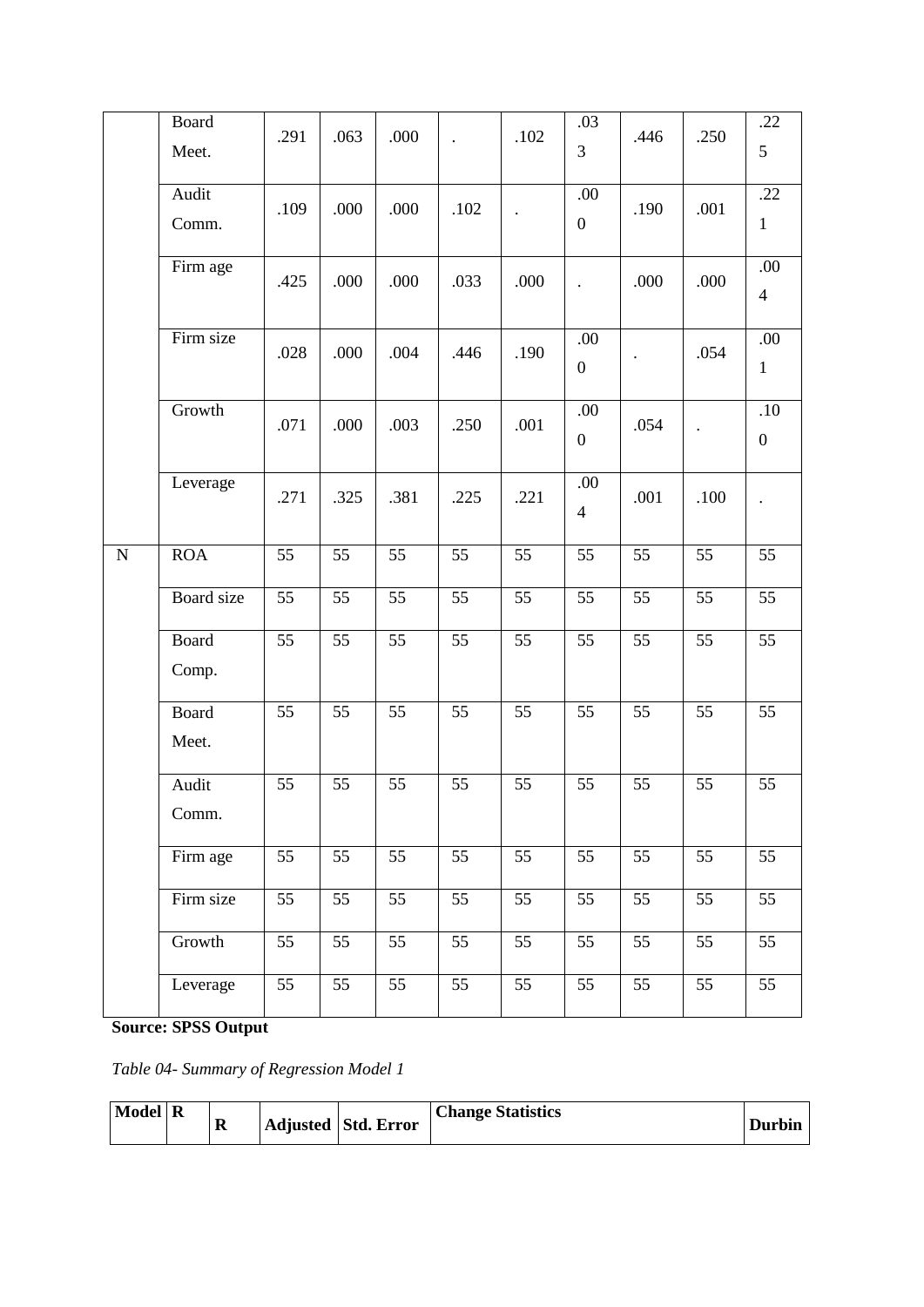|           | <b>Board</b><br>Meet. | .291            | .063            | .000            |                 | .102                 | .03<br>3                | .446                 | .250            | .22<br>$5\overline{)}$  |
|-----------|-----------------------|-----------------|-----------------|-----------------|-----------------|----------------------|-------------------------|----------------------|-----------------|-------------------------|
|           | Audit<br>Comm.        | .109            | .000            | .000            | .102            | $\ddot{\phantom{0}}$ | .00<br>$\boldsymbol{0}$ | .190                 | .001            | .22<br>$\mathbf{1}$     |
|           | Firm age              | .425            | .000            | .000            | .033            | .000                 | $\ddot{\phantom{0}}$    | .000                 | .000            | .00<br>$\overline{4}$   |
|           | Firm size             | .028            | .000            | .004            | .446            | .190                 | .00<br>$\boldsymbol{0}$ | $\ddot{\phantom{0}}$ | .054            | .00<br>$\mathbf{1}$     |
|           | Growth                | .071            | .000            | .003            | .250            | .001                 | .00<br>$\boldsymbol{0}$ | .054                 | $\bullet$       | .10<br>$\boldsymbol{0}$ |
|           | Leverage              | .271            | .325            | .381            | .225            | .221                 | .00<br>$\overline{4}$   | .001                 | .100            | $\ddot{\phantom{0}}$    |
| ${\bf N}$ | ROA                   | 55              | $\overline{55}$ | $\overline{55}$ | 55              | 55                   | $\overline{55}$         | $\overline{55}$      | 55              | 55                      |
|           | Board size            | 55              | 55              | 55              | 55              | 55                   | 55                      | 55                   | 55              | $\overline{55}$         |
|           | <b>Board</b><br>Comp. | 55              | 55              | 55              | 55              | 55                   | 55                      | 55                   | 55              | 55                      |
|           | Board<br>Meet.        | 55              | 55              | 55              | 55              | 55                   | 55                      | 55                   | 55              | 55                      |
|           | Audit<br>Comm.        | 55              | 55              | 55              | 55              | 55                   | 55                      | 55                   | 55              | 55                      |
|           | Firm age              | 55              | 55              | 55              | 55              | 55                   | 55                      | 55                   | 55              | 55                      |
|           | Firm size             | $\overline{55}$ | $\overline{55}$ | $\overline{55}$ | $\overline{55}$ | $\overline{55}$      | $\overline{55}$         | $\overline{55}$      | $\overline{55}$ | $\overline{55}$         |
|           | Growth                | $\overline{55}$ | 55              | 55              | 55              | 55                   | 55                      | 55                   | 55              | 55                      |
|           | Leverage              | $\overline{55}$ | $\overline{55}$ | $\overline{55}$ | $\overline{55}$ | $\overline{55}$      | $\overline{55}$         | $\overline{55}$      | $\overline{55}$ | $\overline{55}$         |

**Source: SPSS Output**

*Table 04- Summary of Regression Model 1*

| Model R | A |  | Adjusted Std. Error | <b>Change Statistics</b> | <b>Durbin</b> |
|---------|---|--|---------------------|--------------------------|---------------|
|---------|---|--|---------------------|--------------------------|---------------|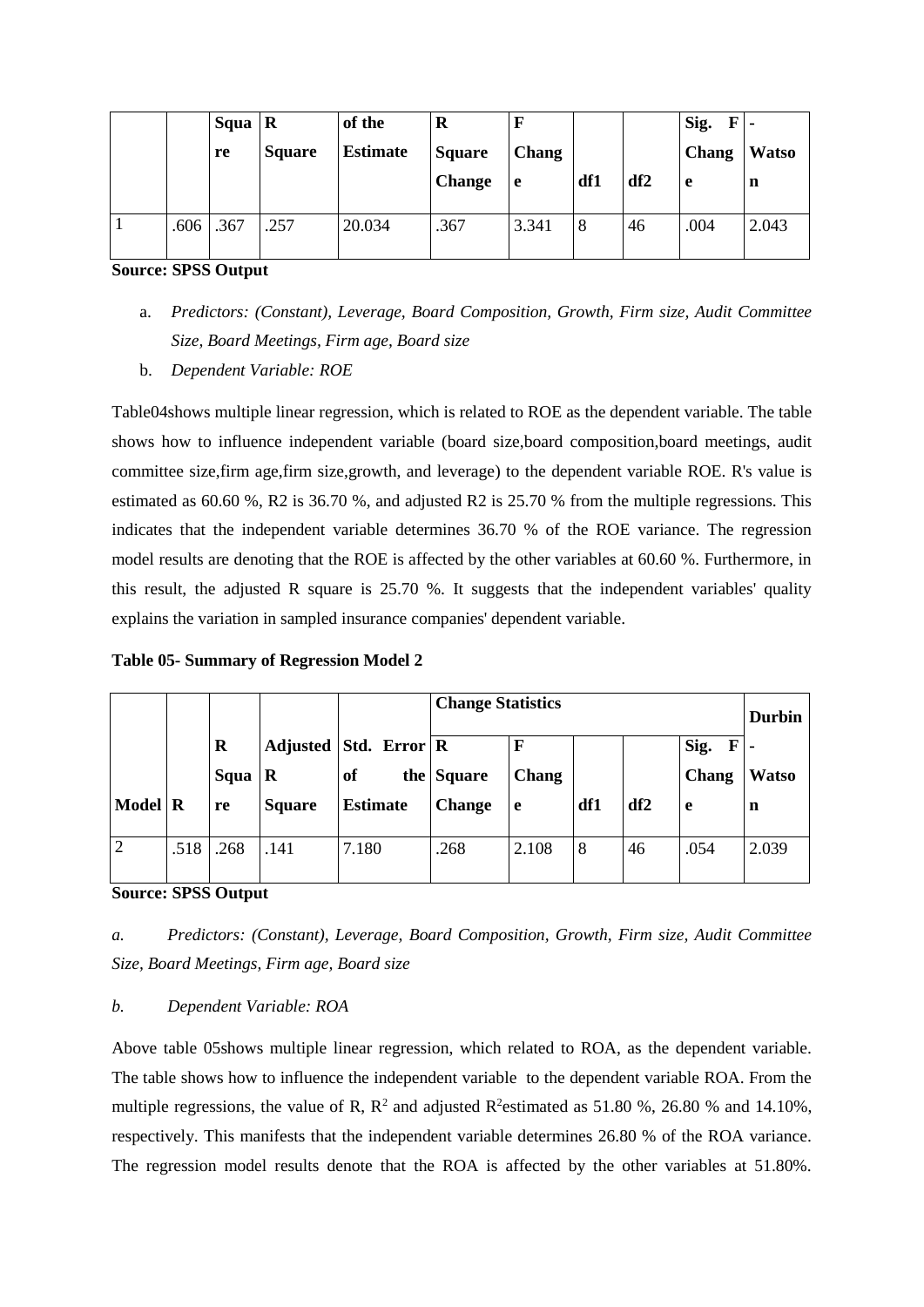|      | Squa $\vert$ R |               | of the          | R             |              |     |                 | Sig.<br>$\mathbf F$ |              |
|------|----------------|---------------|-----------------|---------------|--------------|-----|-----------------|---------------------|--------------|
|      | re             | <b>Square</b> | <b>Estimate</b> | <b>Square</b> | <b>Chang</b> |     |                 | <b>Chang</b>        | <b>Watso</b> |
|      |                |               |                 | <b>Change</b> | e            | df1 | df <sub>2</sub> | l e                 | n            |
|      |                |               |                 |               |              |     |                 |                     |              |
| .606 | .367           | .257          | 20.034          | .367          | 3.341        | 8   | 46              | .004                | 2.043        |
|      |                |               |                 |               |              |     |                 |                     |              |

**Source: SPSS Output**

- a. *Predictors: (Constant), Leverage, Board Composition, Growth, Firm size, Audit Committee Size, Board Meetings, Firm age, Board size*
- b. *Dependent Variable: ROE*

Table04shows multiple linear regression, which is related to ROE as the dependent variable. The table shows how to influence independent variable (board size,board composition,board meetings, audit committee size,firm age,firm size,growth, and leverage) to the dependent variable ROE. R's value is estimated as 60.60 %, R2 is 36.70 %, and adjusted R2 is 25.70 % from the multiple regressions. This indicates that the independent variable determines 36.70 % of the ROE variance. The regression model results are denoting that the ROE is affected by the other variables at 60.60 %. Furthermore, in this result, the adjusted R square is 25.70 %. It suggests that the independent variables' quality explains the variation in sampled insurance companies' dependent variable.

**Table 05- Summary of Regression Model 2**

|                |         |         |               |                 | <b>Change Statistics</b> |       |     |     |           | <b>Durbin</b> |
|----------------|---------|---------|---------------|-----------------|--------------------------|-------|-----|-----|-----------|---------------|
|                |         | $\bf R$ | Adjusted      | Std. Error R    |                          | F     |     |     | Sig.<br>F |               |
|                |         | Squa    | R             | of              | the Square               | Chang |     |     | Chang     | <b>Watso</b>  |
| <b>Model</b>   | $\bf R$ | re      | <b>Square</b> | <b>Estimate</b> | <b>Change</b>            | e     | df1 | df2 | e         | n             |
|                |         |         |               |                 |                          |       |     |     |           |               |
| $\overline{2}$ | .518    | .268    | .141          | 7.180           | .268                     | 2.108 | 8   | 46  | .054      | 2.039         |
|                |         |         |               |                 |                          |       |     |     |           |               |

**Source: SPSS Output**

*a. Predictors: (Constant), Leverage, Board Composition, Growth, Firm size, Audit Committee Size, Board Meetings, Firm age, Board size*

## *b. Dependent Variable: ROA*

Above table 05shows multiple linear regression, which related to ROA, as the dependent variable. The table shows how to influence the independent variable to the dependent variable ROA. From the multiple regressions, the value of R,  $\mathbb{R}^2$  and adjusted  $\mathbb{R}^2$ estimated as 51.80 %, 26.80 % and 14.10%, respectively. This manifests that the independent variable determines 26.80 % of the ROA variance. The regression model results denote that the ROA is affected by the other variables at 51.80%.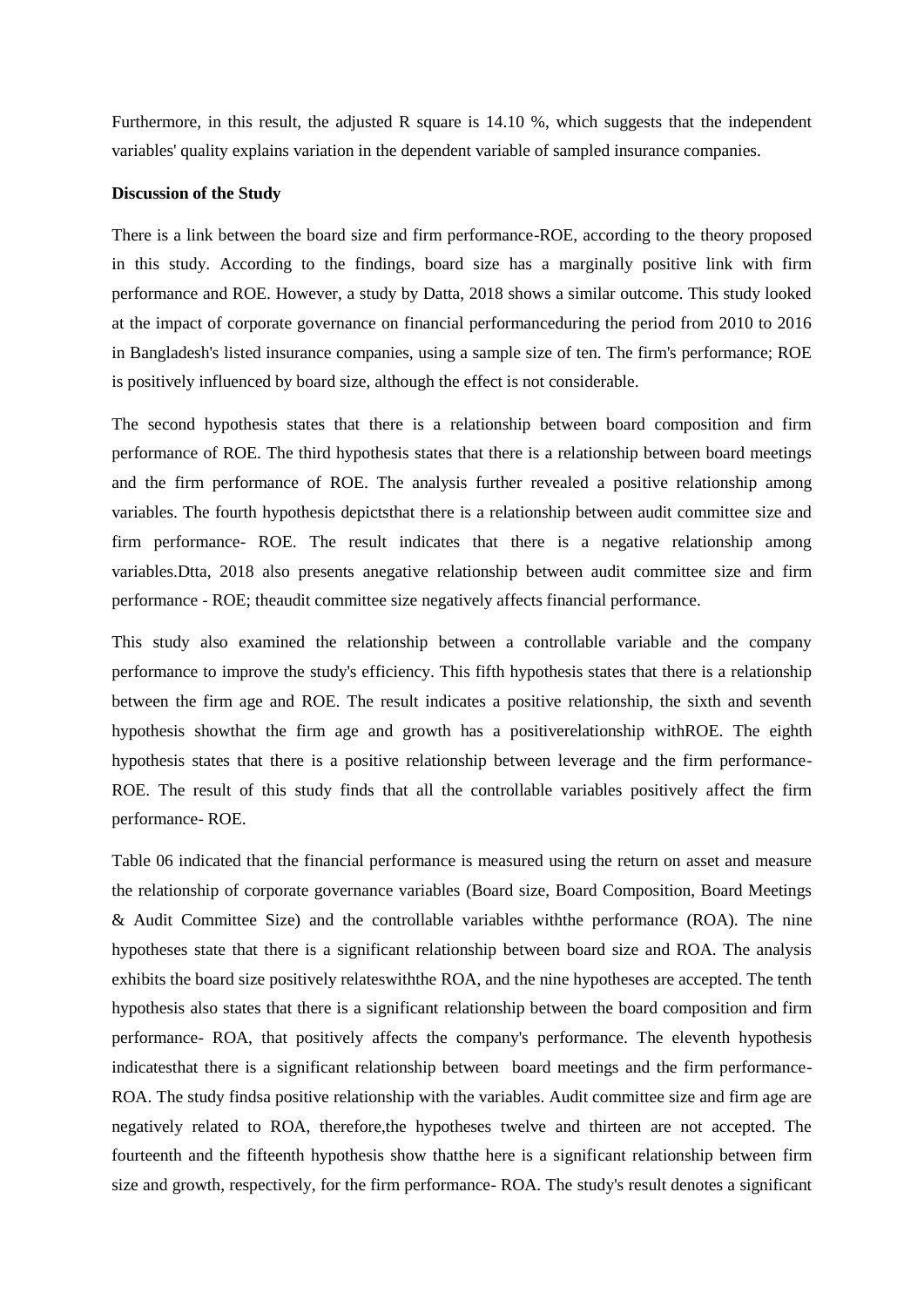Furthermore, in this result, the adjusted R square is 14.10 %, which suggests that the independent variables' quality explains variation in the dependent variable of sampled insurance companies.

#### **Discussion of the Study**

There is a link between the board size and firm performance-ROE, according to the theory proposed in this study. According to the findings, board size has a marginally positive link with firm performance and ROE. However, a study by Datta, 2018 shows a similar outcome. This study looked at the impact of corporate governance on financial performanceduring the period from 2010 to 2016 in Bangladesh's listed insurance companies, using a sample size of ten. The firm's performance; ROE is positively influenced by board size, although the effect is not considerable.

The second hypothesis states that there is a relationship between board composition and firm performance of ROE. The third hypothesis states that there is a relationship between board meetings and the firm performance of ROE. The analysis further revealed a positive relationship among variables. The fourth hypothesis depictsthat there is a relationship between audit committee size and firm performance- ROE. The result indicates that there is a negative relationship among variables.Dtta, 2018 also presents anegative relationship between audit committee size and firm performance - ROE; theaudit committee size negatively affects financial performance.

This study also examined the relationship between a controllable variable and the company performance to improve the study's efficiency. This fifth hypothesis states that there is a relationship between the firm age and ROE. The result indicates a positive relationship, the sixth and seventh hypothesis showthat the firm age and growth has a positiverelationship withROE. The eighth hypothesis states that there is a positive relationship between leverage and the firm performance-ROE. The result of this study finds that all the controllable variables positively affect the firm performance- ROE.

Table 06 indicated that the financial performance is measured using the return on asset and measure the relationship of corporate governance variables (Board size, Board Composition, Board Meetings & Audit Committee Size) and the controllable variables withthe performance (ROA). The nine hypotheses state that there is a significant relationship between board size and ROA. The analysis exhibits the board size positively relateswiththe ROA, and the nine hypotheses are accepted. The tenth hypothesis also states that there is a significant relationship between the board composition and firm performance- ROA, that positively affects the company's performance. The eleventh hypothesis indicatesthat there is a significant relationship between board meetings and the firm performance-ROA. The study findsa positive relationship with the variables. Audit committee size and firm age are negatively related to ROA, therefore,the hypotheses twelve and thirteen are not accepted. The fourteenth and the fifteenth hypothesis show thatthe here is a significant relationship between firm size and growth, respectively, for the firm performance- ROA. The study's result denotes a significant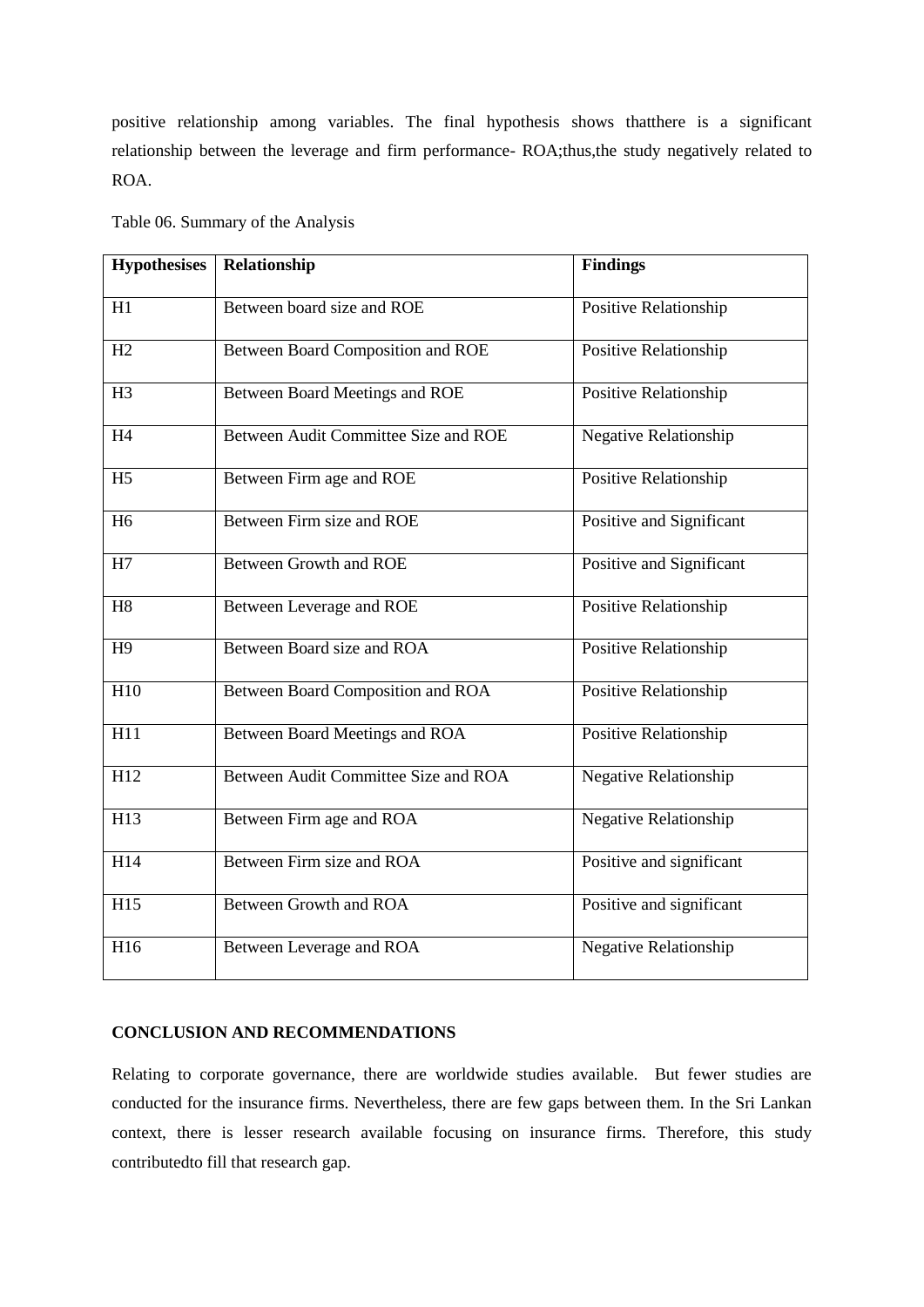positive relationship among variables. The final hypothesis shows thatthere is a significant relationship between the leverage and firm performance- ROA;thus,the study negatively related to ROA.

| <b>Hypothesises</b> | Relationship                         | <b>Findings</b>          |
|---------------------|--------------------------------------|--------------------------|
| H1                  | Between board size and ROE           | Positive Relationship    |
| H2                  | Between Board Composition and ROE    | Positive Relationship    |
| H3                  | Between Board Meetings and ROE       | Positive Relationship    |
| H <sub>4</sub>      | Between Audit Committee Size and ROE | Negative Relationship    |
| H <sub>5</sub>      | Between Firm age and ROE             | Positive Relationship    |
| H <sub>6</sub>      | Between Firm size and ROE            | Positive and Significant |
| H7                  | <b>Between Growth and ROE</b>        | Positive and Significant |
| H <sub>8</sub>      | Between Leverage and ROE             | Positive Relationship    |
| H <sub>9</sub>      | Between Board size and ROA           | Positive Relationship    |
| H <sub>10</sub>     | Between Board Composition and ROA    | Positive Relationship    |
| H11                 | Between Board Meetings and ROA       | Positive Relationship    |
| H12                 | Between Audit Committee Size and ROA | Negative Relationship    |
| H13                 | Between Firm age and ROA             | Negative Relationship    |
| H14                 | Between Firm size and ROA            | Positive and significant |
| H15                 | <b>Between Growth and ROA</b>        | Positive and significant |
| H16                 | Between Leverage and ROA             | Negative Relationship    |

Table 06. Summary of the Analysis

# **CONCLUSION AND RECOMMENDATIONS**

Relating to corporate governance, there are worldwide studies available. But fewer studies are conducted for the insurance firms. Nevertheless, there are few gaps between them. In the Sri Lankan context, there is lesser research available focusing on insurance firms. Therefore, this study contributedto fill that research gap.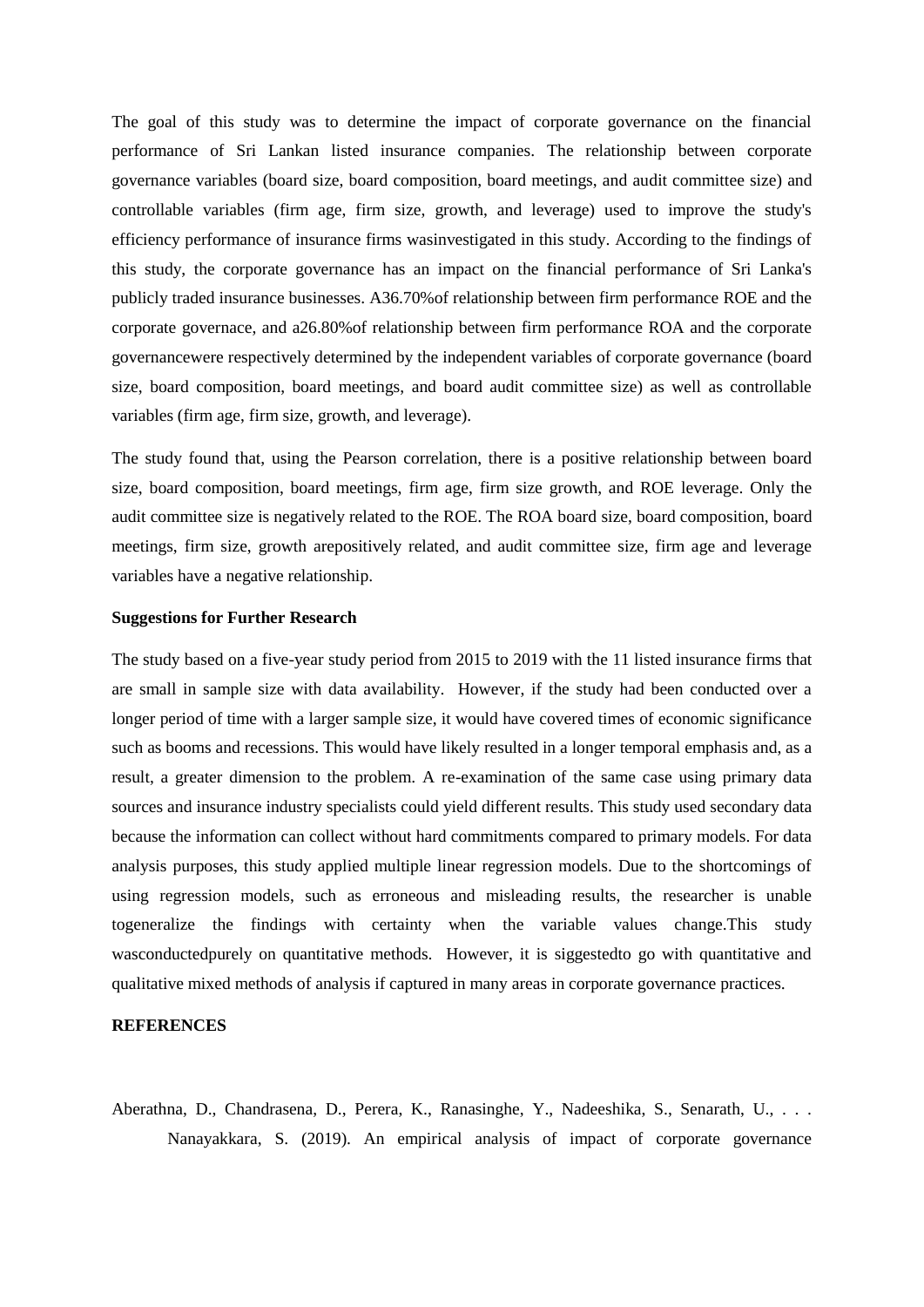The goal of this study was to determine the impact of corporate governance on the financial performance of Sri Lankan listed insurance companies. The relationship between corporate governance variables (board size, board composition, board meetings, and audit committee size) and controllable variables (firm age, firm size, growth, and leverage) used to improve the study's efficiency performance of insurance firms wasinvestigated in this study. According to the findings of this study, the corporate governance has an impact on the financial performance of Sri Lanka's publicly traded insurance businesses. A36.70%of relationship between firm performance ROE and the corporate governace, and a26.80%of relationship between firm performance ROA and the corporate governancewere respectively determined by the independent variables of corporate governance (board size, board composition, board meetings, and board audit committee size) as well as controllable variables (firm age, firm size, growth, and leverage).

The study found that, using the Pearson correlation, there is a positive relationship between board size, board composition, board meetings, firm age, firm size growth, and ROE leverage. Only the audit committee size is negatively related to the ROE. The ROA board size, board composition, board meetings, firm size, growth arepositively related, and audit committee size, firm age and leverage variables have a negative relationship.

#### **Suggestions for Further Research**

The study based on a five-year study period from 2015 to 2019 with the 11 listed insurance firms that are small in sample size with data availability. However, if the study had been conducted over a longer period of time with a larger sample size, it would have covered times of economic significance such as booms and recessions. This would have likely resulted in a longer temporal emphasis and, as a result, a greater dimension to the problem. A re-examination of the same case using primary data sources and insurance industry specialists could yield different results. This study used secondary data because the information can collect without hard commitments compared to primary models. For data analysis purposes, this study applied multiple linear regression models. Due to the shortcomings of using regression models, such as erroneous and misleading results, the researcher is unable togeneralize the findings with certainty when the variable values change.This study wasconductedpurely on quantitative methods. However, it is siggestedto go with quantitative and qualitative mixed methods of analysis if captured in many areas in corporate governance practices.

#### **REFERENCES**

Aberathna, D., Chandrasena, D., Perera, K., Ranasinghe, Y., Nadeeshika, S., Senarath, U., . . . Nanayakkara, S. (2019). An empirical analysis of impact of corporate governance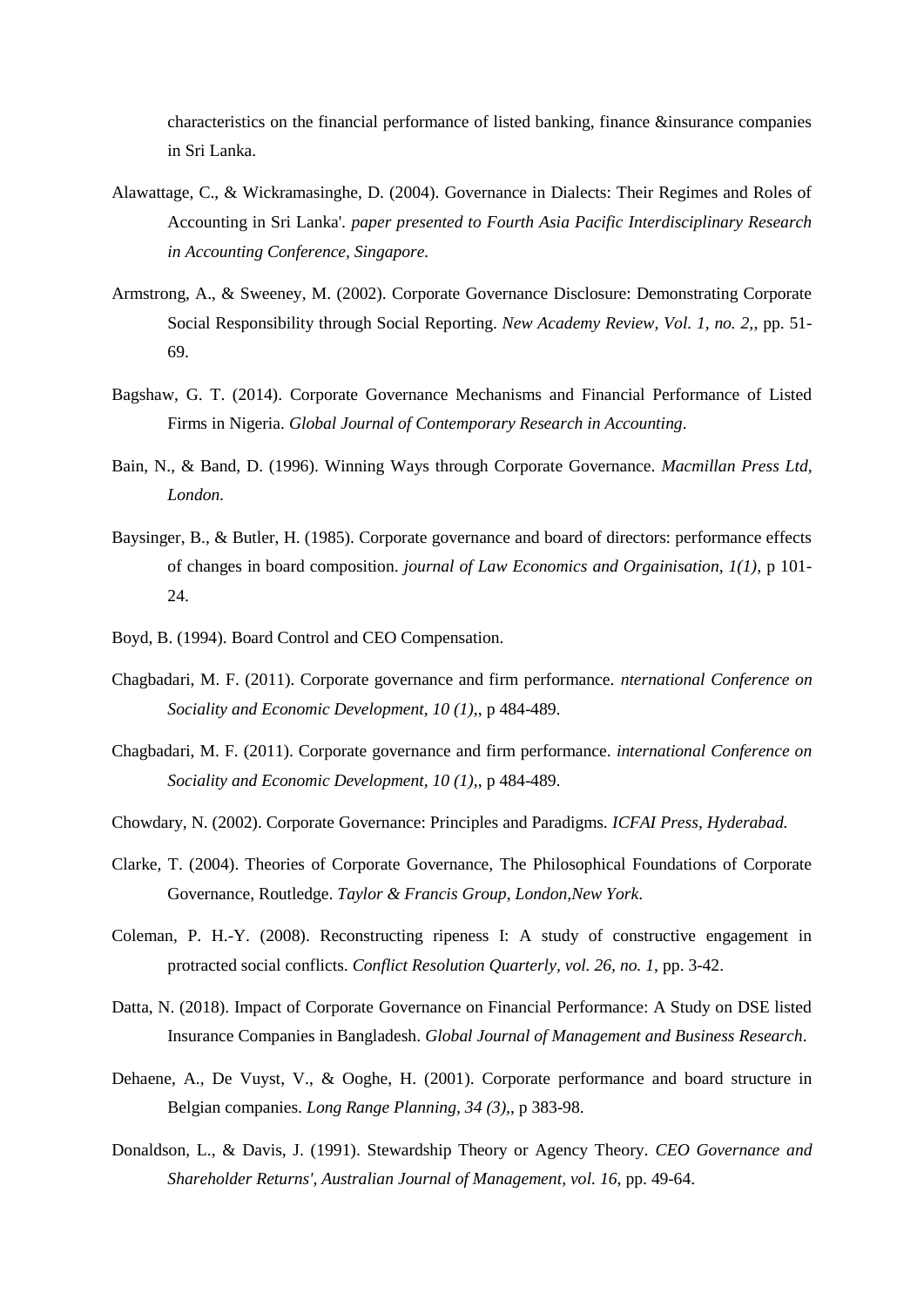characteristics on the financial performance of listed banking, finance &insurance companies in Sri Lanka.

- Alawattage, C., & Wickramasinghe, D. (2004). Governance in Dialects: Their Regimes and Roles of Accounting in Sri Lanka'. *paper presented to Fourth Asia Pacific Interdisciplinary Research in Accounting Conference, Singapore.*
- Armstrong, A., & Sweeney, M. (2002). Corporate Governance Disclosure: Demonstrating Corporate Social Responsibility through Social Reporting. *New Academy Review, Vol. 1, no. 2,*, pp. 51- 69.
- Bagshaw, G. T. (2014). Corporate Governance Mechanisms and Financial Performance of Listed Firms in Nigeria. *Global Journal of Contemporary Research in Accounting*.
- Bain, N., & Band, D. (1996). Winning Ways through Corporate Governance. *Macmillan Press Ltd, London.*
- Baysinger, B., & Butler, H. (1985). Corporate governance and board of directors: performance effects of changes in board composition. *journal of Law Economics and Orgainisation, 1(1)*, p 101- 24.
- Boyd, B. (1994). Board Control and CEO Compensation.
- Chagbadari, M. F. (2011). Corporate governance and firm performance. *nternational Conference on Sociality and Economic Development, 10 (1),*, p 484-489.
- Chagbadari, M. F. (2011). Corporate governance and firm performance. *international Conference on Sociality and Economic Development, 10 (1),*, p 484-489.
- Chowdary, N. (2002). Corporate Governance: Principles and Paradigms. *ICFAI Press, Hyderabad.*
- Clarke, T. (2004). Theories of Corporate Governance, The Philosophical Foundations of Corporate Governance, Routledge. *Taylor & Francis Group, London,New York*.
- Coleman, P. H.-Y. (2008). Reconstructing ripeness I: A study of constructive engagement in protracted social conflicts. *Conflict Resolution Quarterly, vol. 26, no. 1*, pp. 3-42.
- Datta, N. (2018). Impact of Corporate Governance on Financial Performance: A Study on DSE listed Insurance Companies in Bangladesh. *Global Journal of Management and Business Research*.
- Dehaene, A., De Vuyst, V., & Ooghe, H. (2001). Corporate performance and board structure in Belgian companies. *Long Range Planning, 34 (3),*, p 383-98.
- Donaldson, L., & Davis, J. (1991). Stewardship Theory or Agency Theory. *CEO Governance and Shareholder Returns', Australian Journal of Management, vol. 16*, pp. 49-64.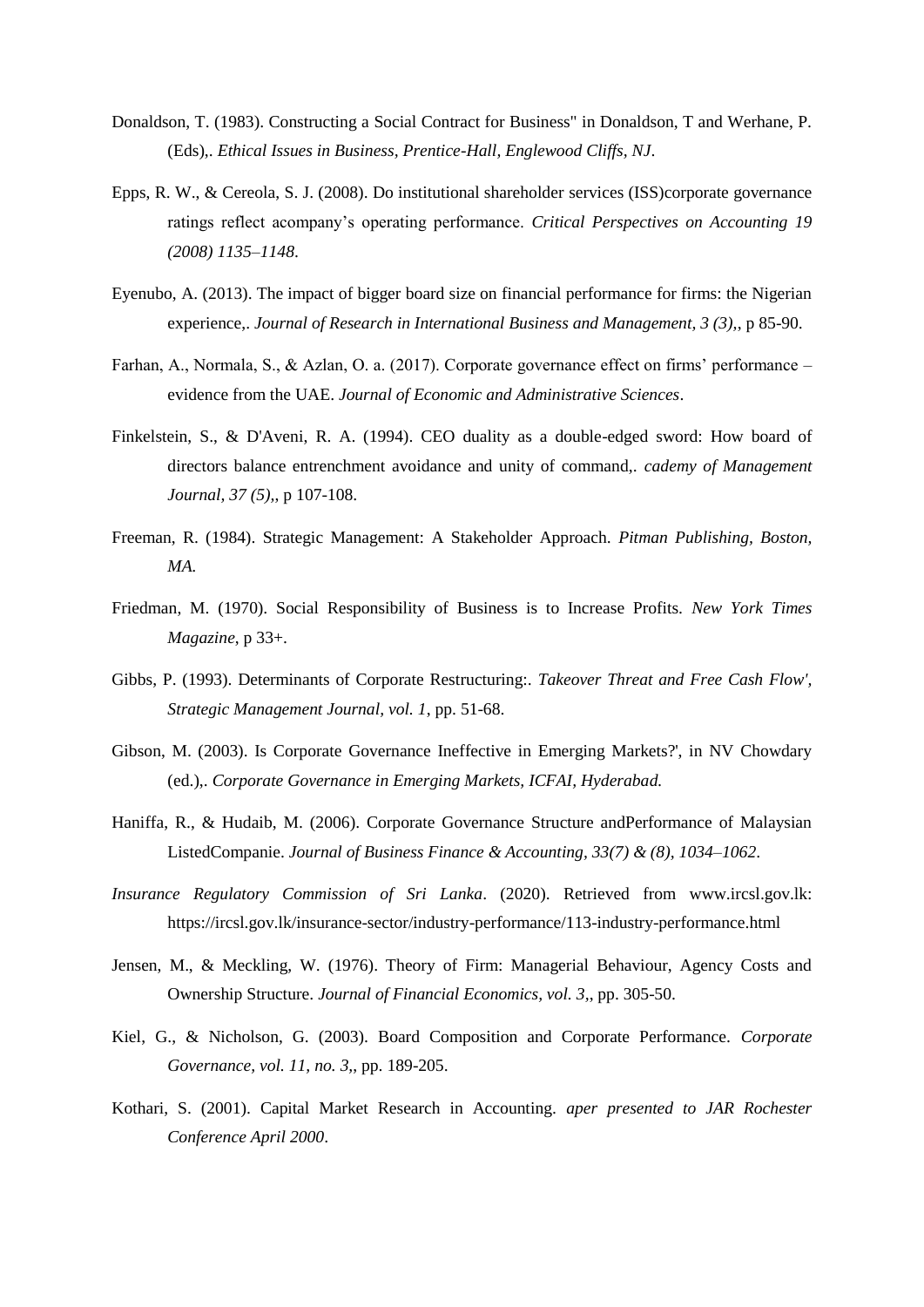- Donaldson, T. (1983). Constructing a Social Contract for Business" in Donaldson, T and Werhane, P. (Eds),. *Ethical Issues in Business, Prentice-Hall, Englewood Cliffs, NJ*.
- Epps, R. W., & Cereola, S. J. (2008). Do institutional shareholder services (ISS)corporate governance ratings reflect acompany's operating performance. *Critical Perspectives on Accounting 19 (2008) 1135–1148*.
- Eyenubo, A. (2013). The impact of bigger board size on financial performance for firms: the Nigerian experience,. *Journal of Research in International Business and Management, 3 (3),*, p 85-90.
- Farhan, A., Normala, S., & Azlan, O. a. (2017). Corporate governance effect on firms' performance evidence from the UAE. *Journal of Economic and Administrative Sciences*.
- Finkelstein, S., & D'Aveni, R. A. (1994). CEO duality as a double-edged sword: How board of directors balance entrenchment avoidance and unity of command,. *cademy of Management Journal, 37 (5),*, p 107-108.
- Freeman, R. (1984). Strategic Management: A Stakeholder Approach. *Pitman Publishing, Boston, MA.*
- Friedman, M. (1970). Social Responsibility of Business is to Increase Profits. *New York Times Magazine*, p 33+.
- Gibbs, P. (1993). Determinants of Corporate Restructuring:. *Takeover Threat and Free Cash Flow', Strategic Management Journal, vol. 1*, pp. 51-68.
- Gibson, M. (2003). Is Corporate Governance Ineffective in Emerging Markets?', in NV Chowdary (ed.),. *Corporate Governance in Emerging Markets, ICFAI, Hyderabad.*
- Haniffa, R., & Hudaib, M. (2006). Corporate Governance Structure andPerformance of Malaysian ListedCompanie. *Journal of Business Finance & Accounting, 33(7) & (8), 1034–1062*.
- *Insurance Regulatory Commission of Sri Lanka*. (2020). Retrieved from www.ircsl.gov.lk: https://ircsl.gov.lk/insurance-sector/industry-performance/113-industry-performance.html
- Jensen, M., & Meckling, W. (1976). Theory of Firm: Managerial Behaviour, Agency Costs and Ownership Structure. *Journal of Financial Economics, vol. 3,*, pp. 305-50.
- Kiel, G., & Nicholson, G. (2003). Board Composition and Corporate Performance. *Corporate Governance, vol. 11, no. 3,*, pp. 189-205.
- Kothari, S. (2001). Capital Market Research in Accounting. *aper presented to JAR Rochester Conference April 2000*.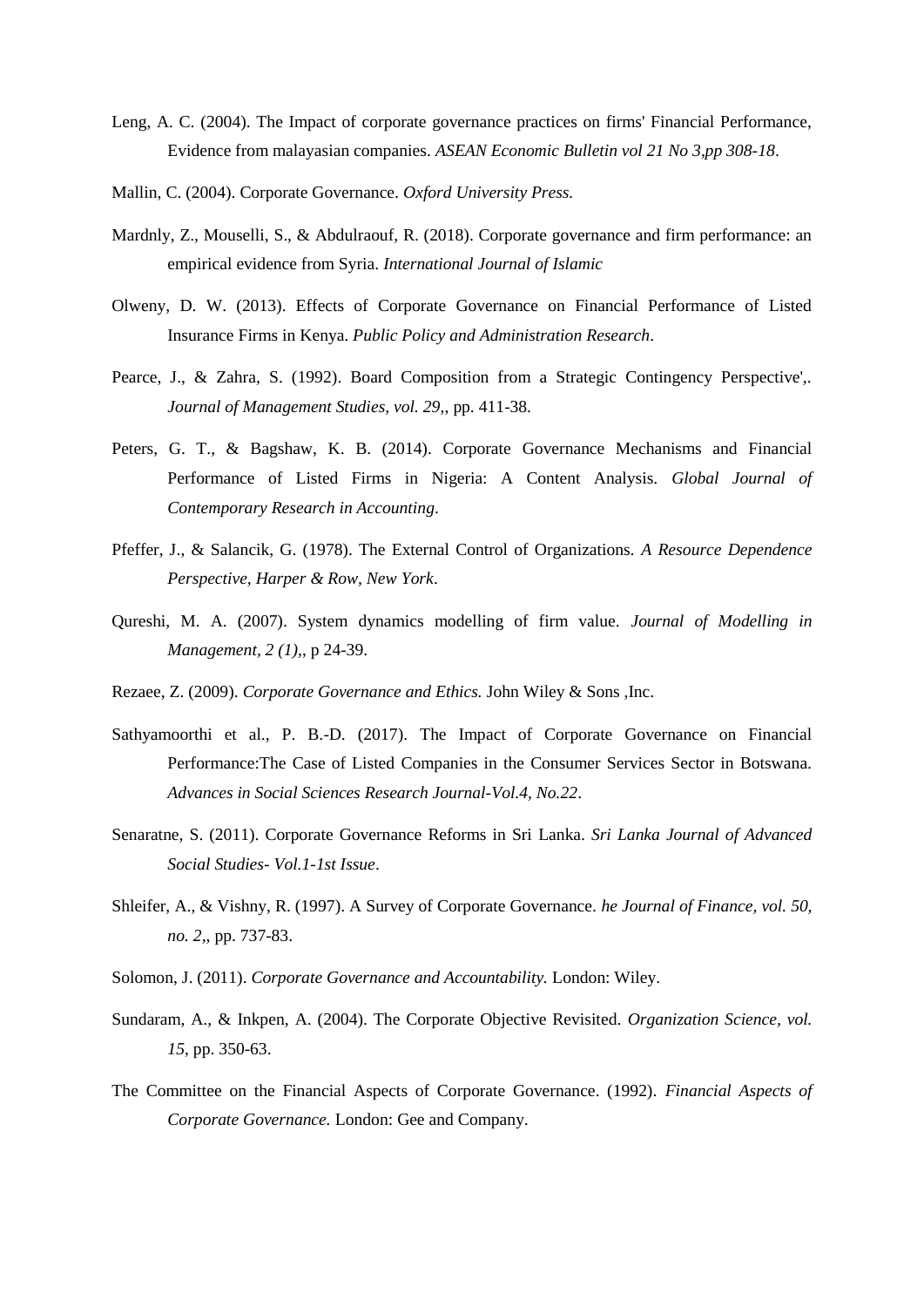- Leng, A. C. (2004). The Impact of corporate governance practices on firms' Financial Performance, Evidence from malayasian companies. *ASEAN Economic Bulletin vol 21 No 3,pp 308-18*.
- Mallin, C. (2004). Corporate Governance. *Oxford University Press.*
- Mardnly, Z., Mouselli, S., & Abdulraouf, R. (2018). Corporate governance and firm performance: an empirical evidence from Syria. *International Journal of Islamic*
- Olweny, D. W. (2013). Effects of Corporate Governance on Financial Performance of Listed Insurance Firms in Kenya. *Public Policy and Administration Research*.
- Pearce, J., & Zahra, S. (1992). Board Composition from a Strategic Contingency Perspective',. *Journal of Management Studies, vol. 29,*, pp. 411-38.
- Peters, G. T., & Bagshaw, K. B. (2014). Corporate Governance Mechanisms and Financial Performance of Listed Firms in Nigeria: A Content Analysis. *Global Journal of Contemporary Research in Accounting*.
- Pfeffer, J., & Salancik, G. (1978). The External Control of Organizations. *A Resource Dependence Perspective, Harper & Row, New York*.
- Qureshi, M. A. (2007). System dynamics modelling of firm value. *Journal of Modelling in Management, 2 (1),*, p 24-39.
- Rezaee, Z. (2009). *Corporate Governance and Ethics.* John Wiley & Sons ,Inc.
- Sathyamoorthi et al., P. B.-D. (2017). The Impact of Corporate Governance on Financial Performance:The Case of Listed Companies in the Consumer Services Sector in Botswana. *Advances in Social Sciences Research Journal-Vol.4, No.22*.
- Senaratne, S. (2011). Corporate Governance Reforms in Sri Lanka. *Sri Lanka Journal of Advanced Social Studies- Vol.1-1st Issue*.
- Shleifer, A., & Vishny, R. (1997). A Survey of Corporate Governance. *he Journal of Finance, vol. 50, no. 2,*, pp. 737-83.
- Solomon, J. (2011). *Corporate Governance and Accountability.* London: Wiley.
- Sundaram, A., & Inkpen, A. (2004). The Corporate Objective Revisited. *Organization Science, vol. 15*, pp. 350-63.
- The Committee on the Financial Aspects of Corporate Governance. (1992). *Financial Aspects of Corporate Governance.* London: Gee and Company.